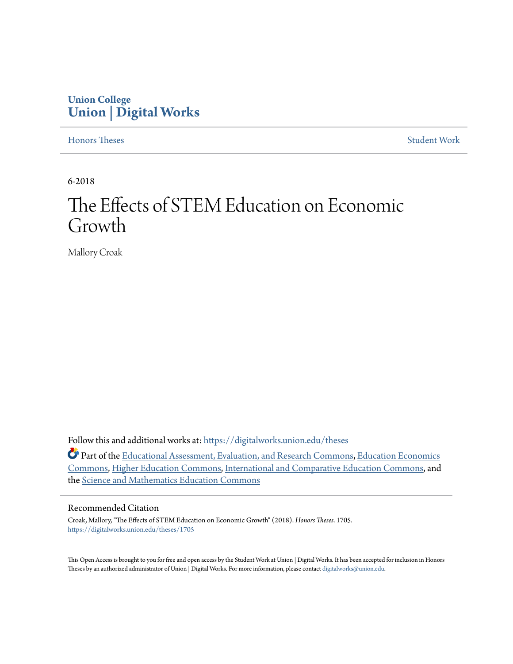# **Union College [Union | Digital Works](https://digitalworks.union.edu?utm_source=digitalworks.union.edu%2Ftheses%2F1705&utm_medium=PDF&utm_campaign=PDFCoverPages)**

[Honors Theses](https://digitalworks.union.edu/theses?utm_source=digitalworks.union.edu%2Ftheses%2F1705&utm_medium=PDF&utm_campaign=PDFCoverPages) [Student Work](https://digitalworks.union.edu/studentwork?utm_source=digitalworks.union.edu%2Ftheses%2F1705&utm_medium=PDF&utm_campaign=PDFCoverPages)

6-2018

# The Effects of STEM Education on Economic Growth

Mallory Croak

Follow this and additional works at: [https://digitalworks.union.edu/theses](https://digitalworks.union.edu/theses?utm_source=digitalworks.union.edu%2Ftheses%2F1705&utm_medium=PDF&utm_campaign=PDFCoverPages)

Part of the [Educational Assessment, Evaluation, and Research Commons,](http://network.bepress.com/hgg/discipline/796?utm_source=digitalworks.union.edu%2Ftheses%2F1705&utm_medium=PDF&utm_campaign=PDFCoverPages) [Education Economics](http://network.bepress.com/hgg/discipline/1262?utm_source=digitalworks.union.edu%2Ftheses%2F1705&utm_medium=PDF&utm_campaign=PDFCoverPages) [Commons,](http://network.bepress.com/hgg/discipline/1262?utm_source=digitalworks.union.edu%2Ftheses%2F1705&utm_medium=PDF&utm_campaign=PDFCoverPages) [Higher Education Commons,](http://network.bepress.com/hgg/discipline/1245?utm_source=digitalworks.union.edu%2Ftheses%2F1705&utm_medium=PDF&utm_campaign=PDFCoverPages) [International and Comparative Education Commons](http://network.bepress.com/hgg/discipline/797?utm_source=digitalworks.union.edu%2Ftheses%2F1705&utm_medium=PDF&utm_campaign=PDFCoverPages), and the [Science and Mathematics Education Commons](http://network.bepress.com/hgg/discipline/800?utm_source=digitalworks.union.edu%2Ftheses%2F1705&utm_medium=PDF&utm_campaign=PDFCoverPages)

#### Recommended Citation

Croak, Mallory, "The Effects of STEM Education on Economic Growth" (2018). *Honors Theses*. 1705. [https://digitalworks.union.edu/theses/1705](https://digitalworks.union.edu/theses/1705?utm_source=digitalworks.union.edu%2Ftheses%2F1705&utm_medium=PDF&utm_campaign=PDFCoverPages)

This Open Access is brought to you for free and open access by the Student Work at Union | Digital Works. It has been accepted for inclusion in Honors Theses by an authorized administrator of Union | Digital Works. For more information, please contact [digitalworks@union.edu.](mailto:digitalworks@union.edu)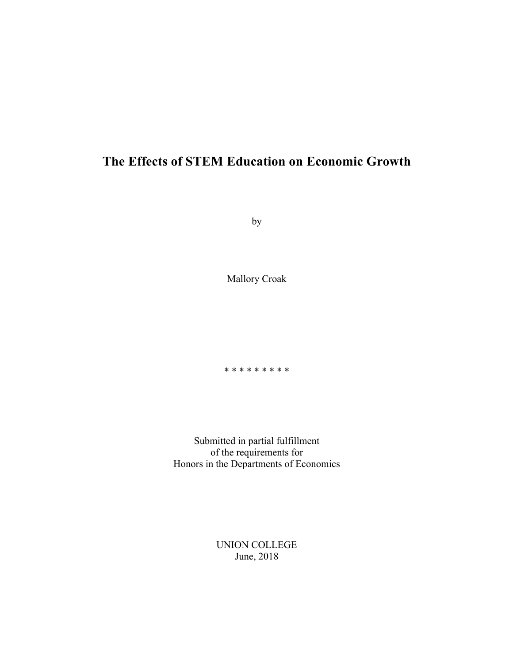# **The Effects of STEM Education on Economic Growth**

by

Mallory Croak

\* \* \* \* \* \* \* \* \*

Submitted in partial fulfillment of the requirements for Honors in the Departments of Economics

> UNION COLLEGE June, 2018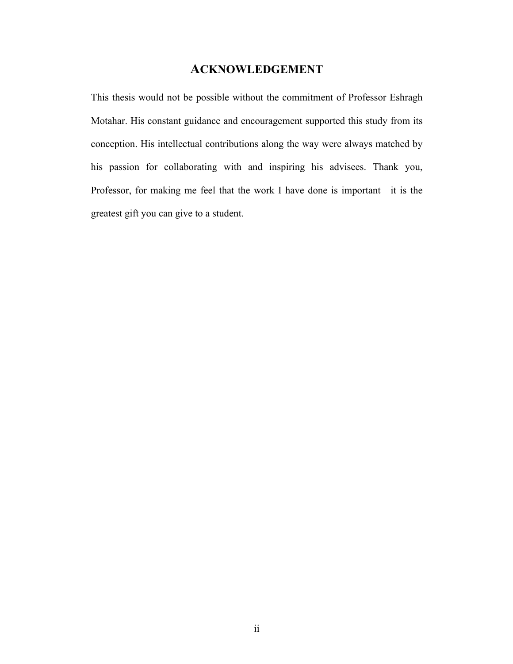# **ACKNOWLEDGEMENT**

This thesis would not be possible without the commitment of Professor Eshragh Motahar. His constant guidance and encouragement supported this study from its conception. His intellectual contributions along the way were always matched by his passion for collaborating with and inspiring his advisees. Thank you, Professor, for making me feel that the work I have done is important—it is the greatest gift you can give to a student.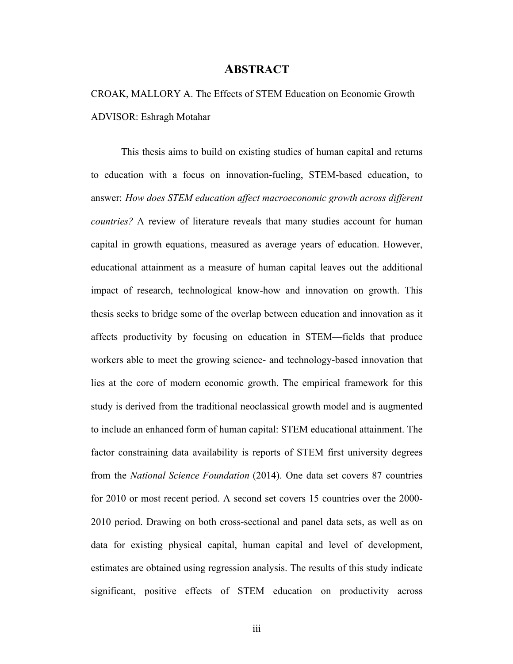### **ABSTRACT**

# CROAK, MALLORY A. The Effects of STEM Education on Economic Growth ADVISOR: Eshragh Motahar

This thesis aims to build on existing studies of human capital and returns to education with a focus on innovation-fueling, STEM-based education, to answer: *How does STEM education affect macroeconomic growth across different countries?* A review of literature reveals that many studies account for human capital in growth equations, measured as average years of education. However, educational attainment as a measure of human capital leaves out the additional impact of research, technological know-how and innovation on growth. This thesis seeks to bridge some of the overlap between education and innovation as it affects productivity by focusing on education in STEM—fields that produce workers able to meet the growing science- and technology-based innovation that lies at the core of modern economic growth. The empirical framework for this study is derived from the traditional neoclassical growth model and is augmented to include an enhanced form of human capital: STEM educational attainment. The factor constraining data availability is reports of STEM first university degrees from the *National Science Foundation* (2014). One data set covers 87 countries for 2010 or most recent period. A second set covers 15 countries over the 2000- 2010 period. Drawing on both cross-sectional and panel data sets, as well as on data for existing physical capital, human capital and level of development, estimates are obtained using regression analysis. The results of this study indicate significant, positive effects of STEM education on productivity across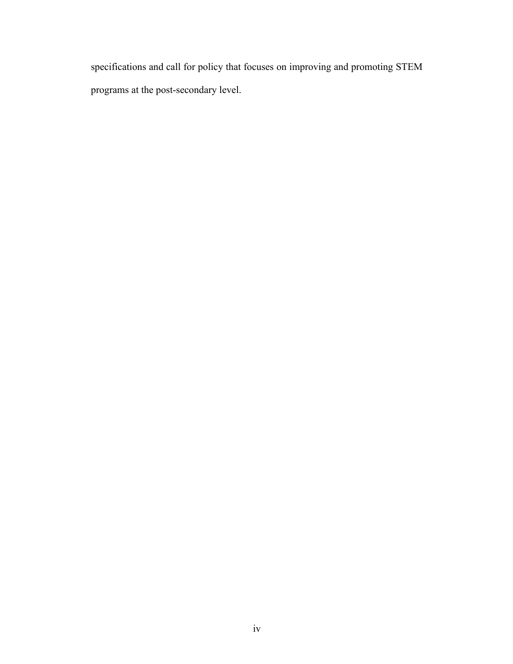specifications and call for policy that focuses on improving and promoting STEM programs at the post-secondary level.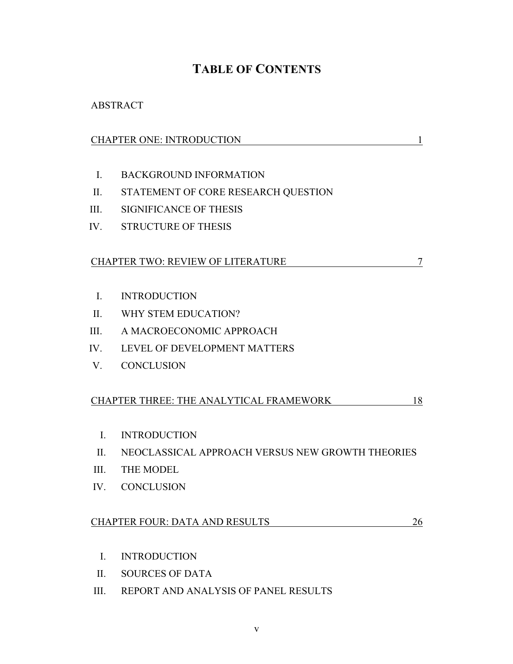# **TABLE OF CONTENTS**

# ABSTRACT

|                | <b>CHAPTER ONE: INTRODUCTION</b><br>1            |
|----------------|--------------------------------------------------|
|                |                                                  |
| $\mathbf{I}$ . | <b>BACKGROUND INFORMATION</b>                    |
| II.            | STATEMENT OF CORE RESEARCH QUESTION              |
| III.           | <b>SIGNIFICANCE OF THESIS</b>                    |
|                | IV. STRUCTURE OF THESIS                          |
|                |                                                  |
|                | <b>CHAPTER TWO: REVIEW OF LITERATURE</b><br>7    |
|                |                                                  |
| $\mathbf{I}$ . | <b>INTRODUCTION</b>                              |
| II.            | WHY STEM EDUCATION?                              |
| III.           | A MACROECONOMIC APPROACH                         |
| IV.            | LEVEL OF DEVELOPMENT MATTERS                     |
| V.             | <b>CONCLUSION</b>                                |
|                |                                                  |
|                | CHAPTER THREE: THE ANALYTICAL FRAMEWORK<br>18    |
|                |                                                  |
| $\mathbf{I}$ . | <b>INTRODUCTION</b>                              |
| $\Pi$ .        | NEOCLASSICAL APPROACH VERSUS NEW GROWTH THEORIES |
| III.           | THE MODEL                                        |
| IV.            | <b>CONCLUSION</b>                                |
|                |                                                  |
|                | <b>CHAPTER FOUR: DATA AND RESULTS</b><br>26      |
|                |                                                  |
| $\mathbf{I}$ . | <b>INTRODUCTION</b>                              |
| II.            | <b>SOURCES OF DATA</b>                           |

III. REPORT AND ANALYSIS OF PANEL RESULTS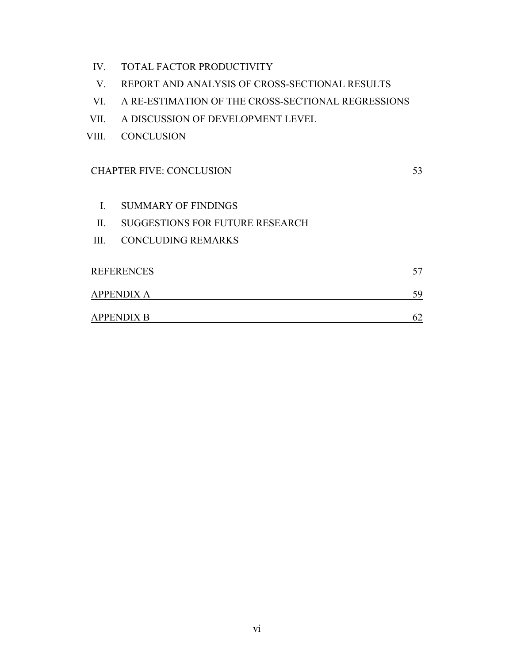- IV. TOTAL FACTOR PRODUCTIVITY
- V. REPORT AND ANALYSIS OF CROSS-SECTIONAL RESULTS
- VI. A RE-ESTIMATION OF THE CROSS-SECTIONAL REGRESSIONS
- VII. A DISCUSSION OF DEVELOPMENT LEVEL
- VIII. CONCLUSION

# CHAPTER FIVE: CONCLUSION 53

- I. SUMMARY OF FINDINGS
- II. SUGGESTIONS FOR FUTURE RESEARCH
- III. CONCLUDING REMARKS

| <b>REFERENCES</b> |    |
|-------------------|----|
| <b>APPENDIX A</b> | 50 |
| <b>APPENDIX B</b> |    |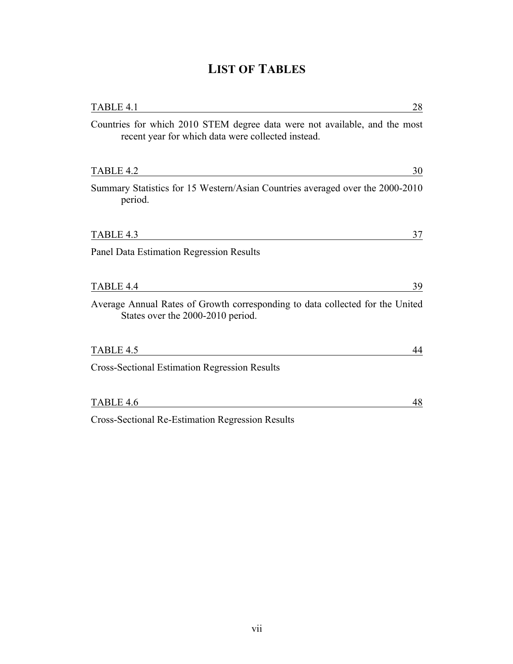| TABLE 4.1<br>28                                                                                                                  |
|----------------------------------------------------------------------------------------------------------------------------------|
| Countries for which 2010 STEM degree data were not available, and the most<br>recent year for which data were collected instead. |
| TABLE 4.2<br>30                                                                                                                  |
| Summary Statistics for 15 Western/Asian Countries averaged over the 2000-2010<br>period.                                         |
| TABLE 4.3<br>37                                                                                                                  |
| Panel Data Estimation Regression Results                                                                                         |
|                                                                                                                                  |
| TABLE 4.4<br>39                                                                                                                  |
| Average Annual Rates of Growth corresponding to data collected for the United<br>States over the 2000-2010 period.               |
| TABLE 4.5<br>44                                                                                                                  |
| <b>Cross-Sectional Estimation Regression Results</b>                                                                             |
| TABLE 4.6<br>48                                                                                                                  |
| <b>Cross-Sectional Re-Estimation Regression Results</b>                                                                          |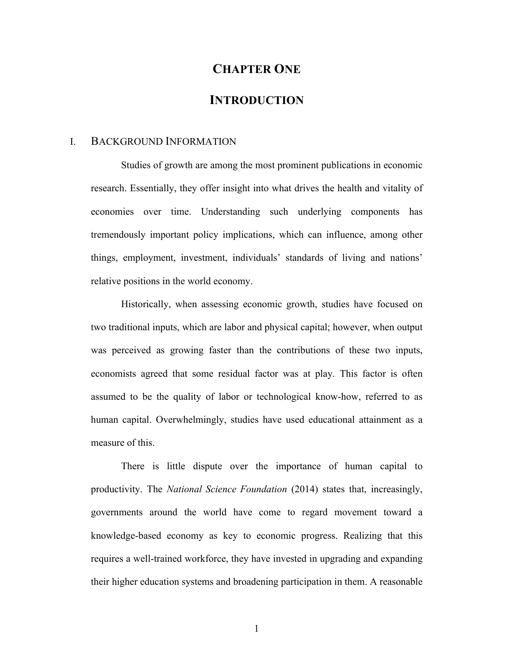# **CHAPTER ONE**

### **INTRODUCTION**

#### I. BACKGROUND INFORMATION

Studies of growth are among the most prominent publications in economic research. Essentially, they offer insight into what drives the health and vitality of economies over time. Understanding such underlying components has tremendously important policy implications, which can influence, among other things, employment, investment, individuals' standards of living and nations' relative positions in the world economy.

Historically, when assessing economic growth, studies have focused on two traditional inputs, which are labor and physical capital; however, when output was perceived as growing faster than the contributions of these two inputs, economists agreed that some residual factor was at play. This factor is often assumed to be the quality of labor or technological know-how, referred to as human capital. Overwhelmingly, studies have used educational attainment as a measure of this.

There is little dispute over the importance of human capital to productivity. The *National Science Foundation* (2014) states that, increasingly, governments around the world have come to regard movement toward a knowledge-based economy as key to economic progress. Realizing that this requires a well-trained workforce, they have invested in upgrading and expanding their higher education systems and broadening participation in them. A reasonable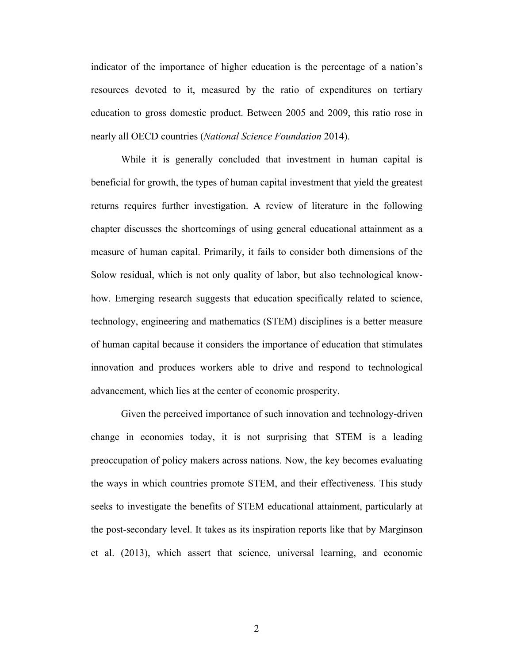indicator of the importance of higher education is the percentage of a nation's resources devoted to it, measured by the ratio of expenditures on tertiary education to gross domestic product. Between 2005 and 2009, this ratio rose in nearly all OECD countries (*National Science Foundation* 2014).

While it is generally concluded that investment in human capital is beneficial for growth, the types of human capital investment that yield the greatest returns requires further investigation. A review of literature in the following chapter discusses the shortcomings of using general educational attainment as a measure of human capital. Primarily, it fails to consider both dimensions of the Solow residual, which is not only quality of labor, but also technological knowhow. Emerging research suggests that education specifically related to science, technology, engineering and mathematics (STEM) disciplines is a better measure of human capital because it considers the importance of education that stimulates innovation and produces workers able to drive and respond to technological advancement, which lies at the center of economic prosperity.

Given the perceived importance of such innovation and technology-driven change in economies today, it is not surprising that STEM is a leading preoccupation of policy makers across nations. Now, the key becomes evaluating the ways in which countries promote STEM, and their effectiveness. This study seeks to investigate the benefits of STEM educational attainment, particularly at the post-secondary level. It takes as its inspiration reports like that by Marginson et al. (2013), which assert that science, universal learning, and economic

2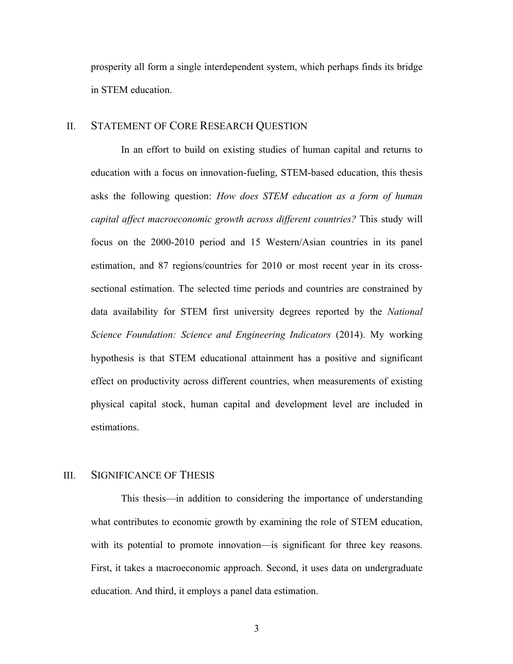prosperity all form a single interdependent system, which perhaps finds its bridge in STEM education.

#### II. STATEMENT OF CORE RESEARCH QUESTION

In an effort to build on existing studies of human capital and returns to education with a focus on innovation-fueling, STEM-based education, this thesis asks the following question: *How does STEM education as a form of human capital affect macroeconomic growth across different countries?* This study will focus on the 2000-2010 period and 15 Western/Asian countries in its panel estimation, and 87 regions/countries for 2010 or most recent year in its crosssectional estimation. The selected time periods and countries are constrained by data availability for STEM first university degrees reported by the *National Science Foundation: Science and Engineering Indicators* (2014). My working hypothesis is that STEM educational attainment has a positive and significant effect on productivity across different countries, when measurements of existing physical capital stock, human capital and development level are included in estimations.

#### III. SIGNIFICANCE OF THESIS

This thesis—in addition to considering the importance of understanding what contributes to economic growth by examining the role of STEM education, with its potential to promote innovation—is significant for three key reasons. First, it takes a macroeconomic approach. Second, it uses data on undergraduate education. And third, it employs a panel data estimation.

3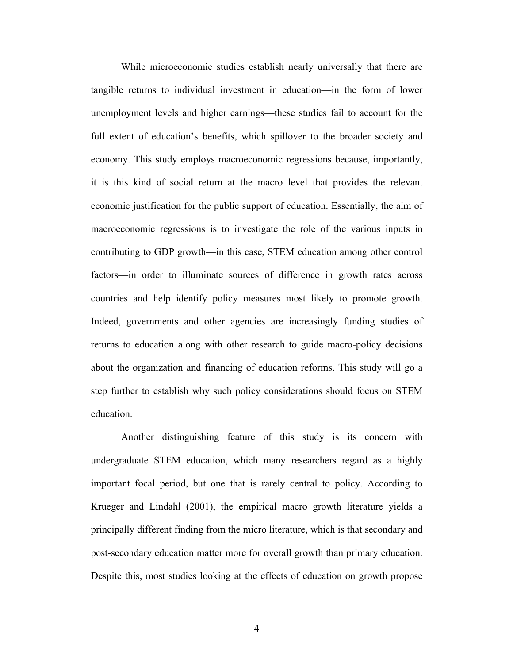While microeconomic studies establish nearly universally that there are tangible returns to individual investment in education—in the form of lower unemployment levels and higher earnings—these studies fail to account for the full extent of education's benefits, which spillover to the broader society and economy. This study employs macroeconomic regressions because, importantly, it is this kind of social return at the macro level that provides the relevant economic justification for the public support of education. Essentially, the aim of macroeconomic regressions is to investigate the role of the various inputs in contributing to GDP growth—in this case, STEM education among other control factors—in order to illuminate sources of difference in growth rates across countries and help identify policy measures most likely to promote growth. Indeed, governments and other agencies are increasingly funding studies of returns to education along with other research to guide macro-policy decisions about the organization and financing of education reforms. This study will go a step further to establish why such policy considerations should focus on STEM education.

Another distinguishing feature of this study is its concern with undergraduate STEM education, which many researchers regard as a highly important focal period, but one that is rarely central to policy. According to Krueger and Lindahl (2001), the empirical macro growth literature yields a principally different finding from the micro literature, which is that secondary and post-secondary education matter more for overall growth than primary education. Despite this, most studies looking at the effects of education on growth propose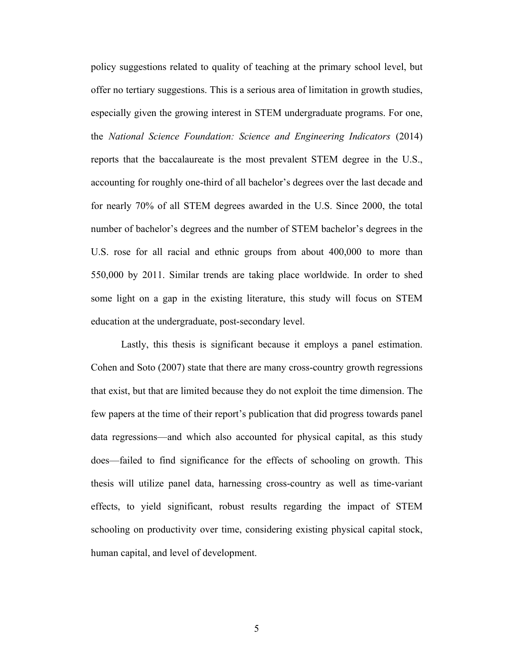policy suggestions related to quality of teaching at the primary school level, but offer no tertiary suggestions. This is a serious area of limitation in growth studies, especially given the growing interest in STEM undergraduate programs. For one, the *National Science Foundation: Science and Engineering Indicators* (2014) reports that the baccalaureate is the most prevalent STEM degree in the U.S., accounting for roughly one-third of all bachelor's degrees over the last decade and for nearly 70% of all STEM degrees awarded in the U.S. Since 2000, the total number of bachelor's degrees and the number of STEM bachelor's degrees in the U.S. rose for all racial and ethnic groups from about 400,000 to more than 550,000 by 2011. Similar trends are taking place worldwide. In order to shed some light on a gap in the existing literature, this study will focus on STEM education at the undergraduate, post-secondary level.

Lastly, this thesis is significant because it employs a panel estimation. Cohen and Soto (2007) state that there are many cross-country growth regressions that exist, but that are limited because they do not exploit the time dimension. The few papers at the time of their report's publication that did progress towards panel data regressions—and which also accounted for physical capital, as this study does—failed to find significance for the effects of schooling on growth. This thesis will utilize panel data, harnessing cross-country as well as time-variant effects, to yield significant, robust results regarding the impact of STEM schooling on productivity over time, considering existing physical capital stock, human capital, and level of development.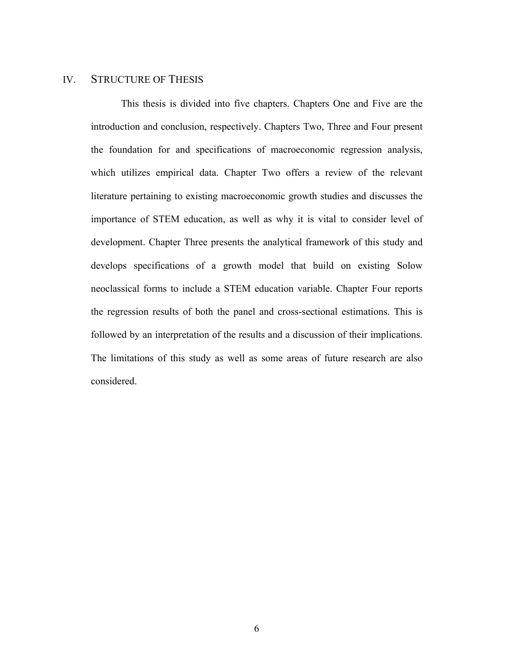### IV. STRUCTURE OF THESIS

This thesis is divided into five chapters. Chapters One and Five are the introduction and conclusion, respectively. Chapters Two, Three and Four present the foundation for and specifications of macroeconomic regression analysis, which utilizes empirical data. Chapter Two offers a review of the relevant literature pertaining to existing macroeconomic growth studies and discusses the importance of STEM education, as well as why it is vital to consider level of development. Chapter Three presents the analytical framework of this study and develops specifications of a growth model that build on existing Solow neoclassical forms to include a STEM education variable. Chapter Four reports the regression results of both the panel and cross-sectional estimations. This is followed by an interpretation of the results and a discussion of their implications. The limitations of this study as well as some areas of future research are also considered.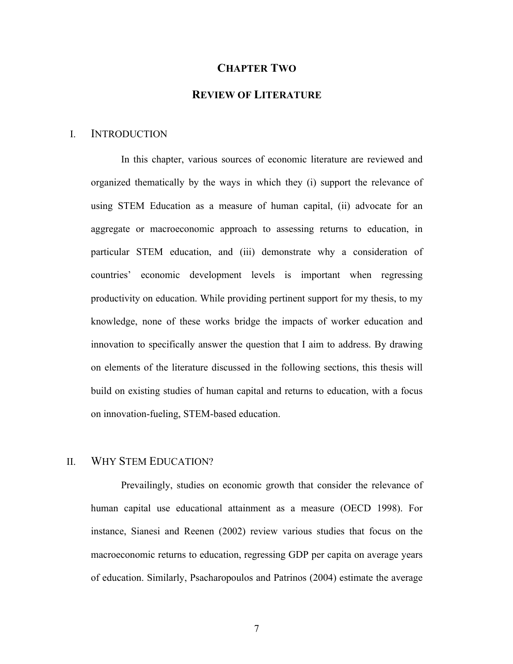#### **CHAPTER TWO**

### **REVIEW OF LITERATURE**

#### I. INTRODUCTION

In this chapter, various sources of economic literature are reviewed and organized thematically by the ways in which they (i) support the relevance of using STEM Education as a measure of human capital, (ii) advocate for an aggregate or macroeconomic approach to assessing returns to education, in particular STEM education, and (iii) demonstrate why a consideration of countries' economic development levels is important when regressing productivity on education. While providing pertinent support for my thesis, to my knowledge, none of these works bridge the impacts of worker education and innovation to specifically answer the question that I aim to address. By drawing on elements of the literature discussed in the following sections, this thesis will build on existing studies of human capital and returns to education, with a focus on innovation-fueling, STEM-based education.

### II. WHY STEM EDUCATION?

Prevailingly, studies on economic growth that consider the relevance of human capital use educational attainment as a measure (OECD 1998). For instance, Sianesi and Reenen (2002) review various studies that focus on the macroeconomic returns to education, regressing GDP per capita on average years of education. Similarly, Psacharopoulos and Patrinos (2004) estimate the average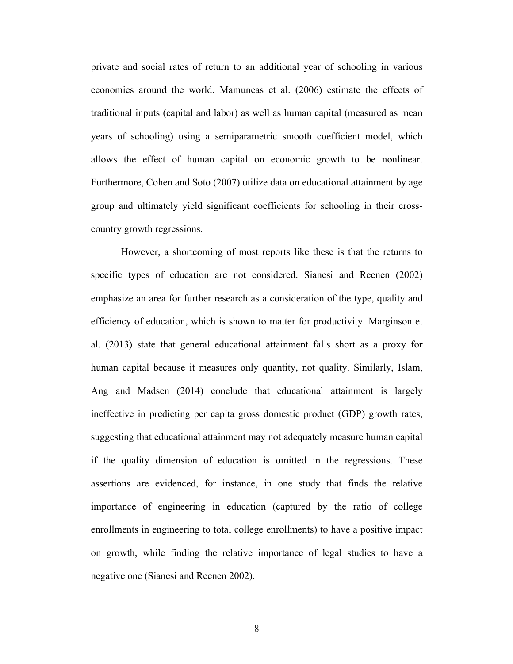private and social rates of return to an additional year of schooling in various economies around the world. Mamuneas et al. (2006) estimate the effects of traditional inputs (capital and labor) as well as human capital (measured as mean years of schooling) using a semiparametric smooth coefficient model, which allows the effect of human capital on economic growth to be nonlinear. Furthermore, Cohen and Soto (2007) utilize data on educational attainment by age group and ultimately yield significant coefficients for schooling in their crosscountry growth regressions.

However, a shortcoming of most reports like these is that the returns to specific types of education are not considered. Sianesi and Reenen (2002) emphasize an area for further research as a consideration of the type, quality and efficiency of education, which is shown to matter for productivity. Marginson et al. (2013) state that general educational attainment falls short as a proxy for human capital because it measures only quantity, not quality. Similarly, Islam, Ang and Madsen (2014) conclude that educational attainment is largely ineffective in predicting per capita gross domestic product (GDP) growth rates, suggesting that educational attainment may not adequately measure human capital if the quality dimension of education is omitted in the regressions. These assertions are evidenced, for instance, in one study that finds the relative importance of engineering in education (captured by the ratio of college enrollments in engineering to total college enrollments) to have a positive impact on growth, while finding the relative importance of legal studies to have a negative one (Sianesi and Reenen 2002).

8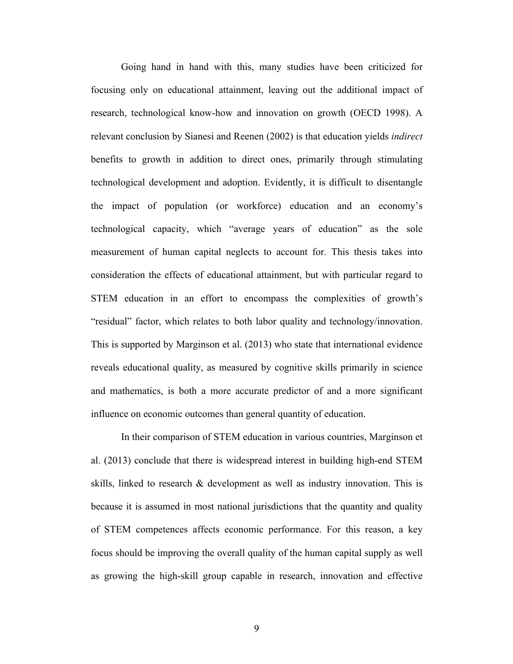Going hand in hand with this, many studies have been criticized for focusing only on educational attainment, leaving out the additional impact of research, technological know-how and innovation on growth (OECD 1998). A relevant conclusion by Sianesi and Reenen (2002) is that education yields *indirect* benefits to growth in addition to direct ones, primarily through stimulating technological development and adoption. Evidently, it is difficult to disentangle the impact of population (or workforce) education and an economy's technological capacity, which "average years of education" as the sole measurement of human capital neglects to account for. This thesis takes into consideration the effects of educational attainment, but with particular regard to STEM education in an effort to encompass the complexities of growth's "residual" factor, which relates to both labor quality and technology/innovation. This is supported by Marginson et al. (2013) who state that international evidence reveals educational quality, as measured by cognitive skills primarily in science and mathematics, is both a more accurate predictor of and a more significant influence on economic outcomes than general quantity of education.

In their comparison of STEM education in various countries, Marginson et al. (2013) conclude that there is widespread interest in building high-end STEM skills, linked to research & development as well as industry innovation. This is because it is assumed in most national jurisdictions that the quantity and quality of STEM competences affects economic performance. For this reason, a key focus should be improving the overall quality of the human capital supply as well as growing the high-skill group capable in research, innovation and effective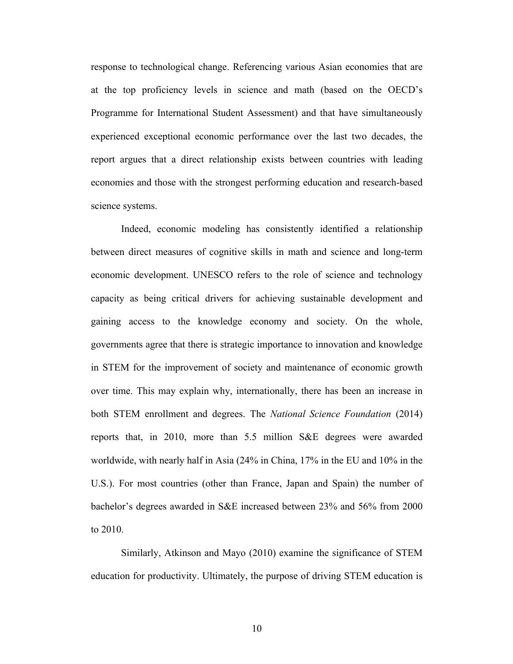response to technological change. Referencing various Asian economies that are at the top proficiency levels in science and math (based on the OECD's Programme for International Student Assessment) and that have simultaneously experienced exceptional economic performance over the last two decades, the report argues that a direct relationship exists between countries with leading economies and those with the strongest performing education and research-based science systems.

Indeed, economic modeling has consistently identified a relationship between direct measures of cognitive skills in math and science and long-term economic development. UNESCO refers to the role of science and technology capacity as being critical drivers for achieving sustainable development and gaining access to the knowledge economy and society. On the whole, governments agree that there is strategic importance to innovation and knowledge in STEM for the improvement of society and maintenance of economic growth over time. This may explain why, internationally, there has been an increase in both STEM enrollment and degrees. The *National Science Foundation* (2014) reports that, in 2010, more than 5.5 million S&E degrees were awarded worldwide, with nearly half in Asia (24% in China, 17% in the EU and 10% in the U.S.). For most countries (other than France, Japan and Spain) the number of bachelor's degrees awarded in S&E increased between 23% and 56% from 2000 to 2010.

Similarly, Atkinson and Mayo (2010) examine the significance of STEM education for productivity. Ultimately, the purpose of driving STEM education is

10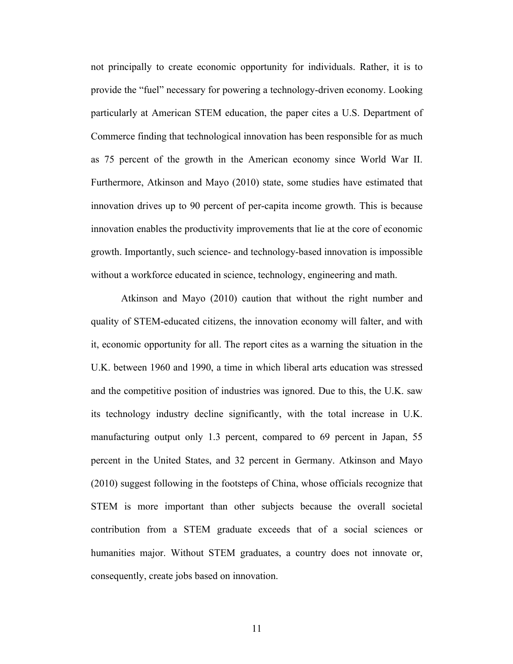not principally to create economic opportunity for individuals. Rather, it is to provide the "fuel" necessary for powering a technology-driven economy. Looking particularly at American STEM education, the paper cites a U.S. Department of Commerce finding that technological innovation has been responsible for as much as 75 percent of the growth in the American economy since World War II. Furthermore, Atkinson and Mayo (2010) state, some studies have estimated that innovation drives up to 90 percent of per-capita income growth. This is because innovation enables the productivity improvements that lie at the core of economic growth. Importantly, such science- and technology-based innovation is impossible without a workforce educated in science, technology, engineering and math.

Atkinson and Mayo (2010) caution that without the right number and quality of STEM-educated citizens, the innovation economy will falter, and with it, economic opportunity for all. The report cites as a warning the situation in the U.K. between 1960 and 1990, a time in which liberal arts education was stressed and the competitive position of industries was ignored. Due to this, the U.K. saw its technology industry decline significantly, with the total increase in U.K. manufacturing output only 1.3 percent, compared to 69 percent in Japan, 55 percent in the United States, and 32 percent in Germany. Atkinson and Mayo (2010) suggest following in the footsteps of China, whose officials recognize that STEM is more important than other subjects because the overall societal contribution from a STEM graduate exceeds that of a social sciences or humanities major. Without STEM graduates, a country does not innovate or, consequently, create jobs based on innovation.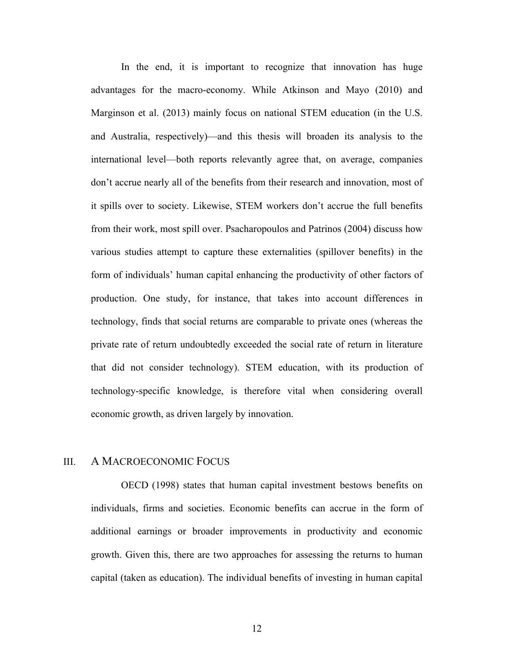In the end, it is important to recognize that innovation has huge advantages for the macro-economy. While Atkinson and Mayo (2010) and Marginson et al. (2013) mainly focus on national STEM education (in the U.S. and Australia, respectively)—and this thesis will broaden its analysis to the international level—both reports relevantly agree that, on average, companies don't accrue nearly all of the benefits from their research and innovation, most of it spills over to society. Likewise, STEM workers don't accrue the full benefits from their work, most spill over. Psacharopoulos and Patrinos (2004) discuss how various studies attempt to capture these externalities (spillover benefits) in the form of individuals' human capital enhancing the productivity of other factors of production. One study, for instance, that takes into account differences in technology, finds that social returns are comparable to private ones (whereas the private rate of return undoubtedly exceeded the social rate of return in literature that did not consider technology). STEM education, with its production of technology-specific knowledge, is therefore vital when considering overall economic growth, as driven largely by innovation.

#### III. A MACROECONOMIC FOCUS

OECD (1998) states that human capital investment bestows benefits on individuals, firms and societies. Economic benefits can accrue in the form of additional earnings or broader improvements in productivity and economic growth. Given this, there are two approaches for assessing the returns to human capital (taken as education). The individual benefits of investing in human capital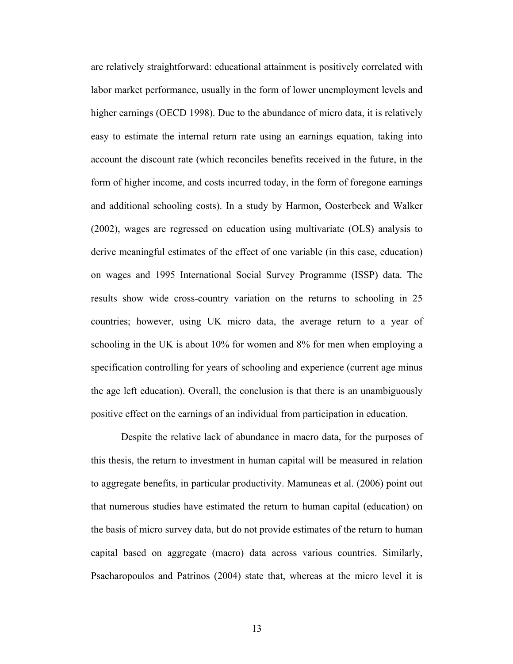are relatively straightforward: educational attainment is positively correlated with labor market performance, usually in the form of lower unemployment levels and higher earnings (OECD 1998). Due to the abundance of micro data, it is relatively easy to estimate the internal return rate using an earnings equation, taking into account the discount rate (which reconciles benefits received in the future, in the form of higher income, and costs incurred today, in the form of foregone earnings and additional schooling costs). In a study by Harmon, Oosterbeek and Walker (2002), wages are regressed on education using multivariate (OLS) analysis to derive meaningful estimates of the effect of one variable (in this case, education) on wages and 1995 International Social Survey Programme (ISSP) data. The results show wide cross-country variation on the returns to schooling in 25 countries; however, using UK micro data, the average return to a year of schooling in the UK is about 10% for women and 8% for men when employing a specification controlling for years of schooling and experience (current age minus the age left education). Overall, the conclusion is that there is an unambiguously positive effect on the earnings of an individual from participation in education.

Despite the relative lack of abundance in macro data, for the purposes of this thesis, the return to investment in human capital will be measured in relation to aggregate benefits, in particular productivity. Mamuneas et al. (2006) point out that numerous studies have estimated the return to human capital (education) on the basis of micro survey data, but do not provide estimates of the return to human capital based on aggregate (macro) data across various countries. Similarly, Psacharopoulos and Patrinos (2004) state that, whereas at the micro level it is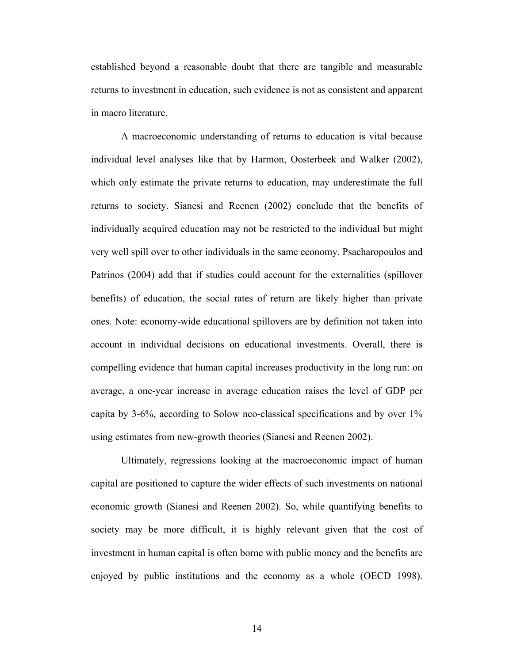established beyond a reasonable doubt that there are tangible and measurable returns to investment in education, such evidence is not as consistent and apparent in macro literature.

A macroeconomic understanding of returns to education is vital because individual level analyses like that by Harmon, Oosterbeek and Walker (2002), which only estimate the private returns to education, may underestimate the full returns to society. Sianesi and Reenen (2002) conclude that the benefits of individually acquired education may not be restricted to the individual but might very well spill over to other individuals in the same economy. Psacharopoulos and Patrinos (2004) add that if studies could account for the externalities (spillover benefits) of education, the social rates of return are likely higher than private ones. Note: economy-wide educational spillovers are by definition not taken into account in individual decisions on educational investments. Overall, there is compelling evidence that human capital increases productivity in the long run: on average, a one-year increase in average education raises the level of GDP per capita by 3-6%, according to Solow neo-classical specifications and by over 1% using estimates from new-growth theories (Sianesi and Reenen 2002).

Ultimately, regressions looking at the macroeconomic impact of human capital are positioned to capture the wider effects of such investments on national economic growth (Sianesi and Reenen 2002). So, while quantifying benefits to society may be more difficult, it is highly relevant given that the cost of investment in human capital is often borne with public money and the benefits are enjoyed by public institutions and the economy as a whole (OECD 1998).

14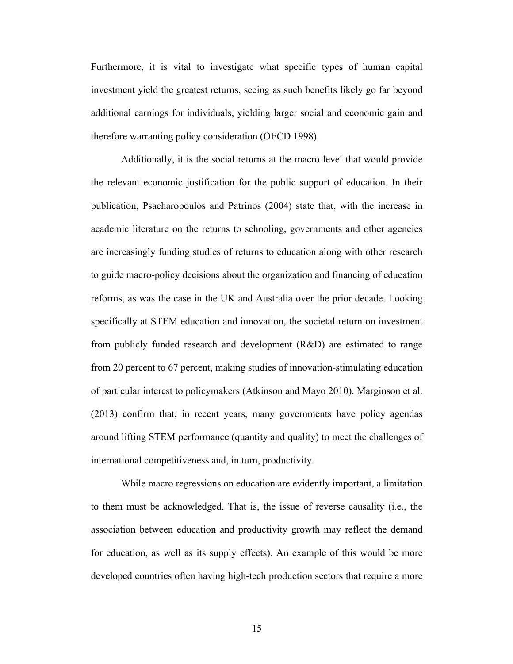Furthermore, it is vital to investigate what specific types of human capital investment yield the greatest returns, seeing as such benefits likely go far beyond additional earnings for individuals, yielding larger social and economic gain and therefore warranting policy consideration (OECD 1998).

Additionally, it is the social returns at the macro level that would provide the relevant economic justification for the public support of education. In their publication, Psacharopoulos and Patrinos (2004) state that, with the increase in academic literature on the returns to schooling, governments and other agencies are increasingly funding studies of returns to education along with other research to guide macro-policy decisions about the organization and financing of education reforms, as was the case in the UK and Australia over the prior decade. Looking specifically at STEM education and innovation, the societal return on investment from publicly funded research and development (R&D) are estimated to range from 20 percent to 67 percent, making studies of innovation-stimulating education of particular interest to policymakers (Atkinson and Mayo 2010). Marginson et al. (2013) confirm that, in recent years, many governments have policy agendas around lifting STEM performance (quantity and quality) to meet the challenges of international competitiveness and, in turn, productivity.

While macro regressions on education are evidently important, a limitation to them must be acknowledged. That is, the issue of reverse causality (i.e., the association between education and productivity growth may reflect the demand for education, as well as its supply effects). An example of this would be more developed countries often having high-tech production sectors that require a more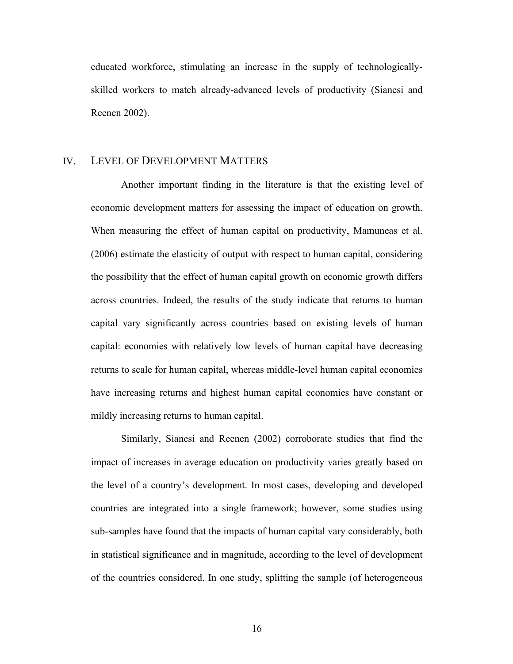educated workforce, stimulating an increase in the supply of technologicallyskilled workers to match already-advanced levels of productivity (Sianesi and Reenen 2002).

#### IV. LEVEL OF DEVELOPMENT MATTERS

Another important finding in the literature is that the existing level of economic development matters for assessing the impact of education on growth. When measuring the effect of human capital on productivity, Mamuneas et al. (2006) estimate the elasticity of output with respect to human capital, considering the possibility that the effect of human capital growth on economic growth differs across countries. Indeed, the results of the study indicate that returns to human capital vary significantly across countries based on existing levels of human capital: economies with relatively low levels of human capital have decreasing returns to scale for human capital, whereas middle-level human capital economies have increasing returns and highest human capital economies have constant or mildly increasing returns to human capital.

Similarly, Sianesi and Reenen (2002) corroborate studies that find the impact of increases in average education on productivity varies greatly based on the level of a country's development. In most cases, developing and developed countries are integrated into a single framework; however, some studies using sub-samples have found that the impacts of human capital vary considerably, both in statistical significance and in magnitude, according to the level of development of the countries considered. In one study, splitting the sample (of heterogeneous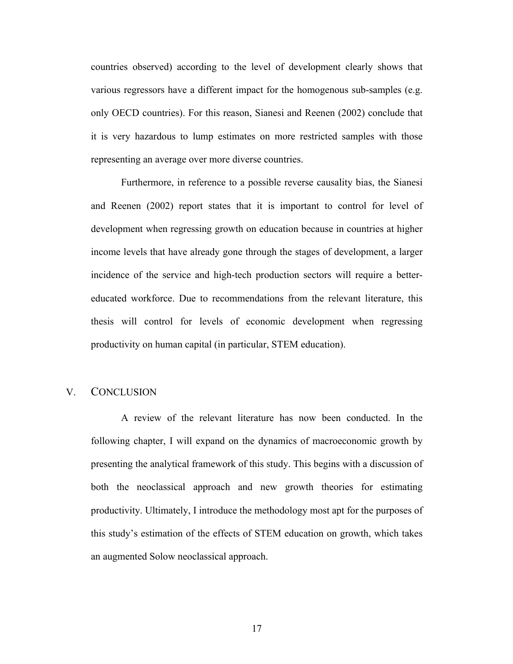countries observed) according to the level of development clearly shows that various regressors have a different impact for the homogenous sub-samples (e.g. only OECD countries). For this reason, Sianesi and Reenen (2002) conclude that it is very hazardous to lump estimates on more restricted samples with those representing an average over more diverse countries.

Furthermore, in reference to a possible reverse causality bias, the Sianesi and Reenen (2002) report states that it is important to control for level of development when regressing growth on education because in countries at higher income levels that have already gone through the stages of development, a larger incidence of the service and high-tech production sectors will require a bettereducated workforce. Due to recommendations from the relevant literature, this thesis will control for levels of economic development when regressing productivity on human capital (in particular, STEM education).

#### V. CONCLUSION

A review of the relevant literature has now been conducted. In the following chapter, I will expand on the dynamics of macroeconomic growth by presenting the analytical framework of this study. This begins with a discussion of both the neoclassical approach and new growth theories for estimating productivity. Ultimately, I introduce the methodology most apt for the purposes of this study's estimation of the effects of STEM education on growth, which takes an augmented Solow neoclassical approach.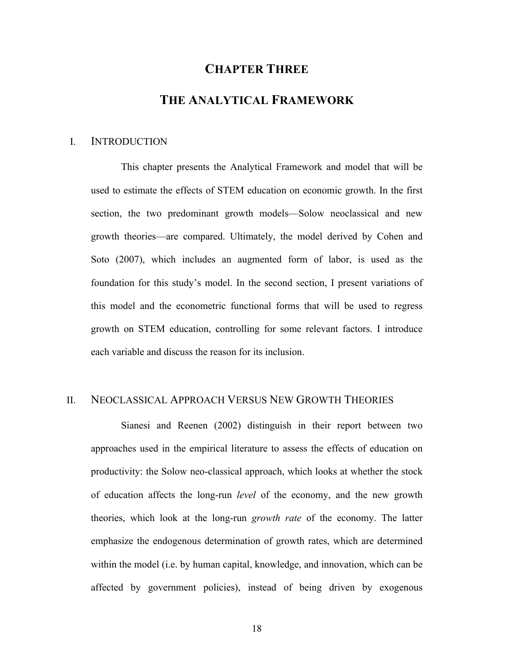## **CHAPTER THREE**

#### **THE ANALYTICAL FRAMEWORK**

#### I. INTRODUCTION

This chapter presents the Analytical Framework and model that will be used to estimate the effects of STEM education on economic growth. In the first section, the two predominant growth models—Solow neoclassical and new growth theories—are compared. Ultimately, the model derived by Cohen and Soto (2007), which includes an augmented form of labor, is used as the foundation for this study's model. In the second section, I present variations of this model and the econometric functional forms that will be used to regress growth on STEM education, controlling for some relevant factors. I introduce each variable and discuss the reason for its inclusion.

#### II. NEOCLASSICAL APPROACH VERSUS NEW GROWTH THEORIES

Sianesi and Reenen (2002) distinguish in their report between two approaches used in the empirical literature to assess the effects of education on productivity: the Solow neo-classical approach, which looks at whether the stock of education affects the long-run *level* of the economy, and the new growth theories, which look at the long-run *growth rate* of the economy. The latter emphasize the endogenous determination of growth rates, which are determined within the model (i.e. by human capital, knowledge, and innovation, which can be affected by government policies), instead of being driven by exogenous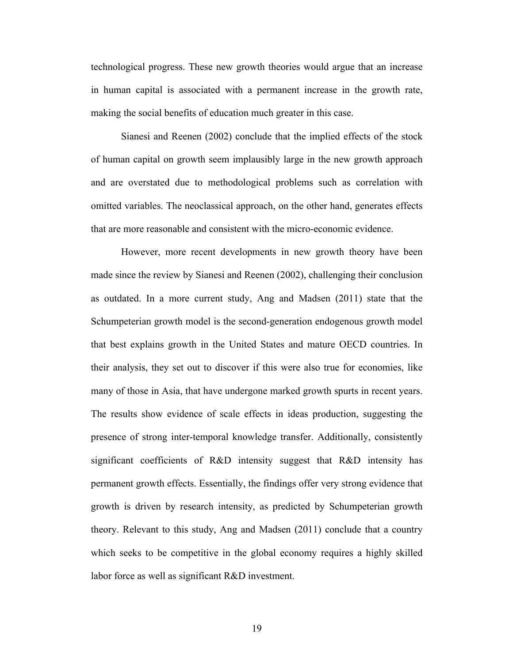technological progress. These new growth theories would argue that an increase in human capital is associated with a permanent increase in the growth rate, making the social benefits of education much greater in this case.

Sianesi and Reenen (2002) conclude that the implied effects of the stock of human capital on growth seem implausibly large in the new growth approach and are overstated due to methodological problems such as correlation with omitted variables. The neoclassical approach, on the other hand, generates effects that are more reasonable and consistent with the micro-economic evidence.

However, more recent developments in new growth theory have been made since the review by Sianesi and Reenen (2002), challenging their conclusion as outdated. In a more current study, Ang and Madsen (2011) state that the Schumpeterian growth model is the second-generation endogenous growth model that best explains growth in the United States and mature OECD countries. In their analysis, they set out to discover if this were also true for economies, like many of those in Asia, that have undergone marked growth spurts in recent years. The results show evidence of scale effects in ideas production, suggesting the presence of strong inter-temporal knowledge transfer. Additionally, consistently significant coefficients of R&D intensity suggest that R&D intensity has permanent growth effects. Essentially, the findings offer very strong evidence that growth is driven by research intensity, as predicted by Schumpeterian growth theory. Relevant to this study, Ang and Madsen (2011) conclude that a country which seeks to be competitive in the global economy requires a highly skilled labor force as well as significant R&D investment.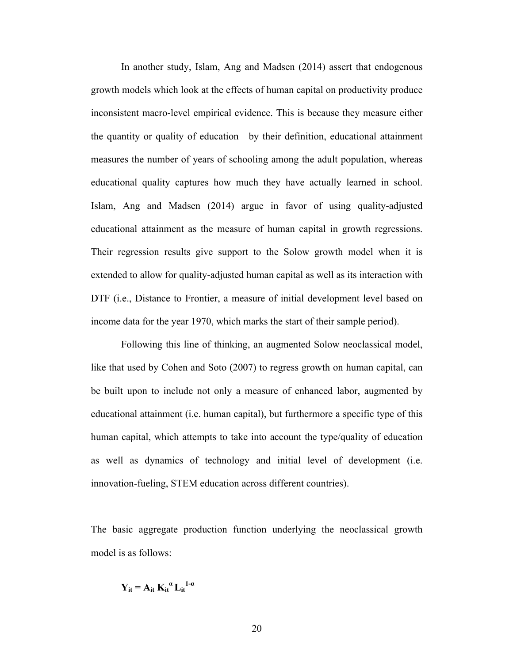In another study, Islam, Ang and Madsen (2014) assert that endogenous growth models which look at the effects of human capital on productivity produce inconsistent macro-level empirical evidence. This is because they measure either the quantity or quality of education—by their definition, educational attainment measures the number of years of schooling among the adult population, whereas educational quality captures how much they have actually learned in school. Islam, Ang and Madsen (2014) argue in favor of using quality-adjusted educational attainment as the measure of human capital in growth regressions. Their regression results give support to the Solow growth model when it is extended to allow for quality-adjusted human capital as well as its interaction with DTF (i.e., Distance to Frontier, a measure of initial development level based on income data for the year 1970, which marks the start of their sample period).

Following this line of thinking, an augmented Solow neoclassical model, like that used by Cohen and Soto (2007) to regress growth on human capital, can be built upon to include not only a measure of enhanced labor, augmented by educational attainment (i.e. human capital), but furthermore a specific type of this human capital, which attempts to take into account the type/quality of education as well as dynamics of technology and initial level of development (i.e. innovation-fueling, STEM education across different countries).

The basic aggregate production function underlying the neoclassical growth model is as follows:

 $Y_{it} = A_{it} K_{it}^{a} L_{it}^{1-a}$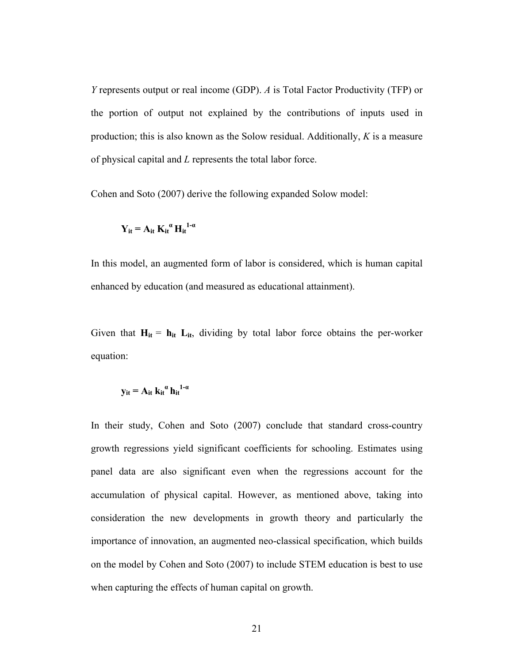*Y* represents output or real income (GDP). *A* is Total Factor Productivity (TFP) or the portion of output not explained by the contributions of inputs used in production; this is also known as the Solow residual. Additionally, *K* is a measure of physical capital and *L* represents the total labor force.

Cohen and Soto (2007) derive the following expanded Solow model:

$$
Y_{it} = A_{it} K_{it}^{\alpha} H_{it}^{1-\alpha}
$$

In this model, an augmented form of labor is considered, which is human capital enhanced by education (and measured as educational attainment).

Given that  $H_{it} = h_{it} L_{it}$ , dividing by total labor force obtains the per-worker equation:

$$
y_{it}=A_{it}\;k_{it}^{\phantom{it}\alpha}\,h_{it}^{\phantom{it}1\text{-}\alpha}
$$

In their study, Cohen and Soto (2007) conclude that standard cross-country growth regressions yield significant coefficients for schooling. Estimates using panel data are also significant even when the regressions account for the accumulation of physical capital. However, as mentioned above, taking into consideration the new developments in growth theory and particularly the importance of innovation, an augmented neo-classical specification, which builds on the model by Cohen and Soto (2007) to include STEM education is best to use when capturing the effects of human capital on growth.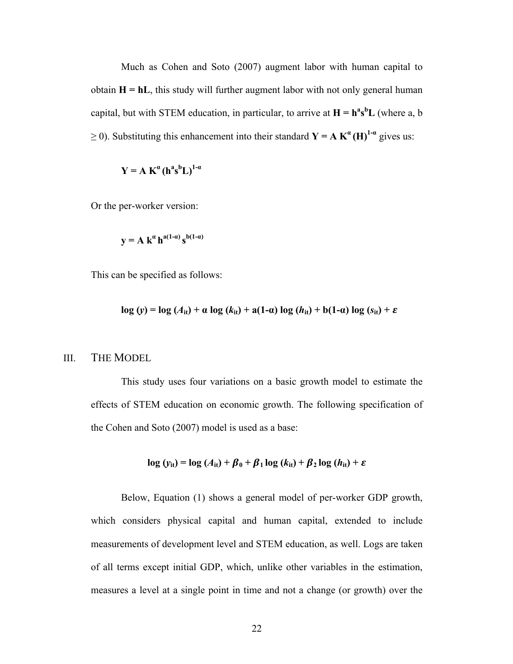Much as Cohen and Soto (2007) augment labor with human capital to obtain  $H = hL$ , this study will further augment labor with not only general human capital, but with STEM education, in particular, to arrive at  $H = h^a s^b L$  (where a, b  $\geq$  0). Substituting this enhancement into their standard  $\mathbf{Y} = \mathbf{A} \mathbf{K}^{\alpha}(\mathbf{H})^{1-\alpha}$  gives us:

$$
Y = A K^{\alpha} (h^{a} s^{b} L)^{1-\alpha}
$$

Or the per-worker version:

$$
y = A k^{\alpha} h^{a(1-\alpha)} s^{b(1-\alpha)}
$$

This can be specified as follows:

$$
\log(y) = \log(A_{it}) + \alpha \log(k_{it}) + a(1-\alpha) \log(h_{it}) + b(1-\alpha) \log(s_{it}) + \varepsilon
$$

### III. THE MODEL

This study uses four variations on a basic growth model to estimate the effects of STEM education on economic growth. The following specification of the Cohen and Soto (2007) model is used as a base:

$$
\log (y_{it}) = \log (A_{it}) + \beta_0 + \beta_1 \log (k_{it}) + \beta_2 \log (h_{it}) + \varepsilon
$$

Below, Equation (1) shows a general model of per-worker GDP growth, which considers physical capital and human capital, extended to include measurements of development level and STEM education, as well. Logs are taken of all terms except initial GDP, which, unlike other variables in the estimation, measures a level at a single point in time and not a change (or growth) over the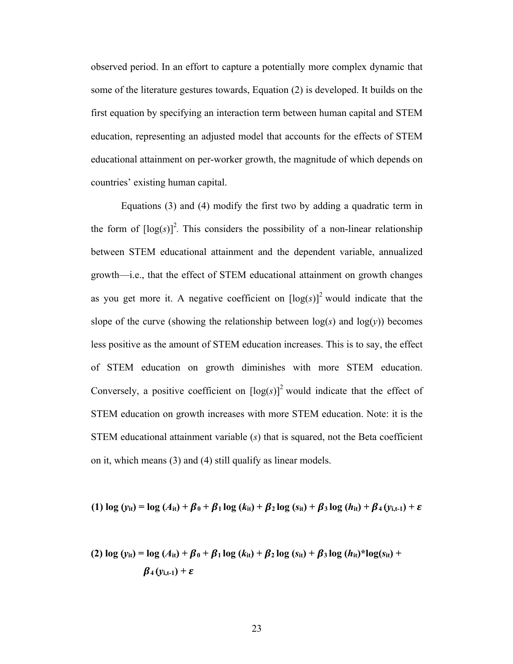observed period. In an effort to capture a potentially more complex dynamic that some of the literature gestures towards, Equation (2) is developed. It builds on the first equation by specifying an interaction term between human capital and STEM education, representing an adjusted model that accounts for the effects of STEM educational attainment on per-worker growth, the magnitude of which depends on countries' existing human capital.

Equations (3) and (4) modify the first two by adding a quadratic term in the form of  $[\log(s)]^2$ . This considers the possibility of a non-linear relationship between STEM educational attainment and the dependent variable, annualized growth—i.e., that the effect of STEM educational attainment on growth changes as you get more it. A negative coefficient on  $[\log(s)]^2$  would indicate that the slope of the curve (showing the relationship between  $log(s)$  and  $log(y)$ ) becomes less positive as the amount of STEM education increases. This is to say, the effect of STEM education on growth diminishes with more STEM education. Conversely, a positive coefficient on  $[\log(s)]^2$  would indicate that the effect of STEM education on growth increases with more STEM education. Note: it is the STEM educational attainment variable (*s*) that is squared, not the Beta coefficient on it, which means (3) and (4) still qualify as linear models.

(1) 
$$
\log(y_{it}) = \log(A_{it}) + \beta_0 + \beta_1 \log(k_{it}) + \beta_2 \log(s_{it}) + \beta_3 \log(h_{it}) + \beta_4(y_{i,t-1}) + \varepsilon
$$

**(2)**  $\log (y_{it}) = \log (A_{it}) + \beta_0 + \beta_1 \log (k_{it}) + \beta_2 \log (s_{it}) + \beta_3 \log (h_{it})^* \log(s_{it}) +$  $\beta_4(y_{i,t-1}) + \varepsilon$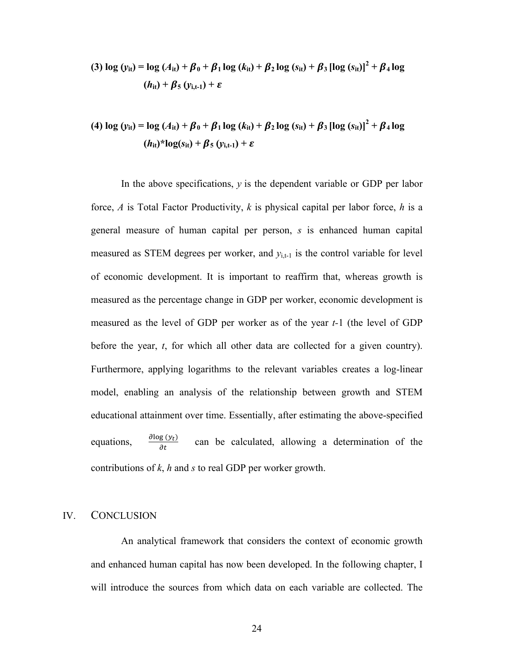(3) 
$$
\log (y_{it}) = \log (A_{it}) + \beta_0 + \beta_1 \log (k_{it}) + \beta_2 \log (s_{it}) + \beta_3 [\log (s_{it})]^2 + \beta_4 \log (h_{it}) + \beta_5 (y_{i,t-1}) + \varepsilon
$$

(4) 
$$
\log (y_{it}) = \log (A_{it}) + \beta_0 + \beta_1 \log (k_{it}) + \beta_2 \log (s_{it}) + \beta_3 [\log (s_{it})]^2 + \beta_4 \log (h_{it})^* \log(s_{it}) + \beta_5 (y_{i,t-1}) + \varepsilon
$$

In the above specifications, *y* is the dependent variable or GDP per labor force, *A* is Total Factor Productivity, *k* is physical capital per labor force, *h* is a general measure of human capital per person, *s* is enhanced human capital measured as STEM degrees per worker, and  $y_{i,t-1}$  is the control variable for level of economic development. It is important to reaffirm that, whereas growth is measured as the percentage change in GDP per worker, economic development is measured as the level of GDP per worker as of the year *t-*1 (the level of GDP before the year, *t*, for which all other data are collected for a given country). Furthermore, applying logarithms to the relevant variables creates a log-linear model, enabling an analysis of the relationship between growth and STEM educational attainment over time. Essentially, after estimating the above-specified equations,  $\frac{\partial \log(y_t)}{\partial t}$ can be calculated, allowing a determination of the contributions of *k*, *h* and *s* to real GDP per worker growth.

#### IV. CONCLUSION

An analytical framework that considers the context of economic growth and enhanced human capital has now been developed. In the following chapter, I will introduce the sources from which data on each variable are collected. The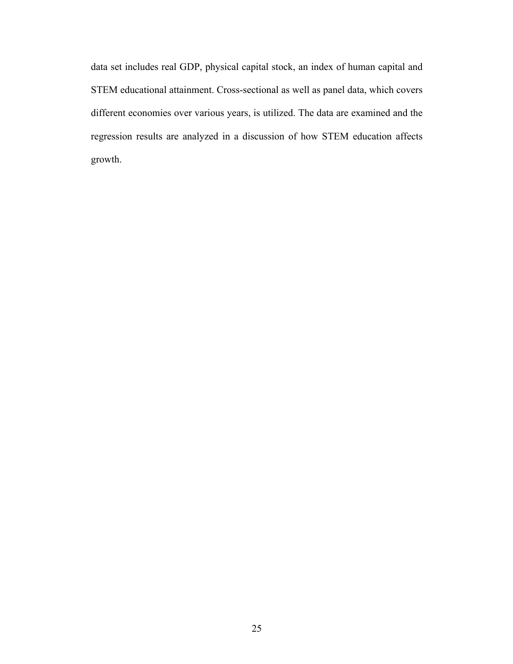data set includes real GDP, physical capital stock, an index of human capital and STEM educational attainment. Cross-sectional as well as panel data, which covers different economies over various years, is utilized. The data are examined and the regression results are analyzed in a discussion of how STEM education affects growth.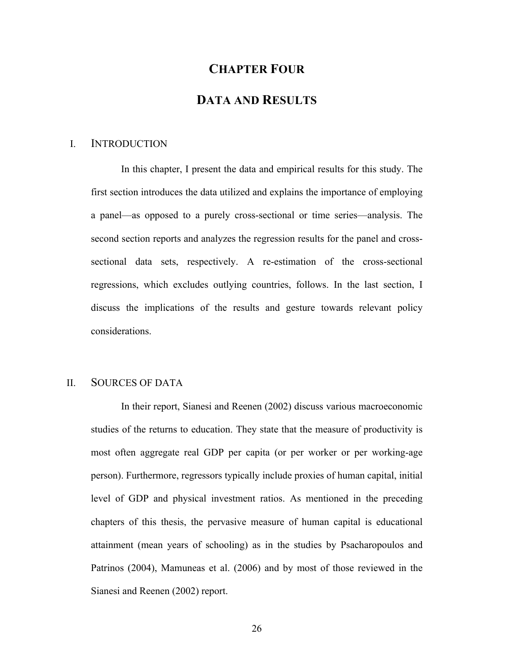# **CHAPTER FOUR**

# **DATA AND RESULTS**

#### I. INTRODUCTION

In this chapter, I present the data and empirical results for this study. The first section introduces the data utilized and explains the importance of employing a panel—as opposed to a purely cross-sectional or time series—analysis. The second section reports and analyzes the regression results for the panel and crosssectional data sets, respectively. A re-estimation of the cross-sectional regressions, which excludes outlying countries, follows. In the last section, I discuss the implications of the results and gesture towards relevant policy considerations.

### II. SOURCES OF DATA

In their report, Sianesi and Reenen (2002) discuss various macroeconomic studies of the returns to education. They state that the measure of productivity is most often aggregate real GDP per capita (or per worker or per working-age person). Furthermore, regressors typically include proxies of human capital, initial level of GDP and physical investment ratios. As mentioned in the preceding chapters of this thesis, the pervasive measure of human capital is educational attainment (mean years of schooling) as in the studies by Psacharopoulos and Patrinos (2004), Mamuneas et al. (2006) and by most of those reviewed in the Sianesi and Reenen (2002) report.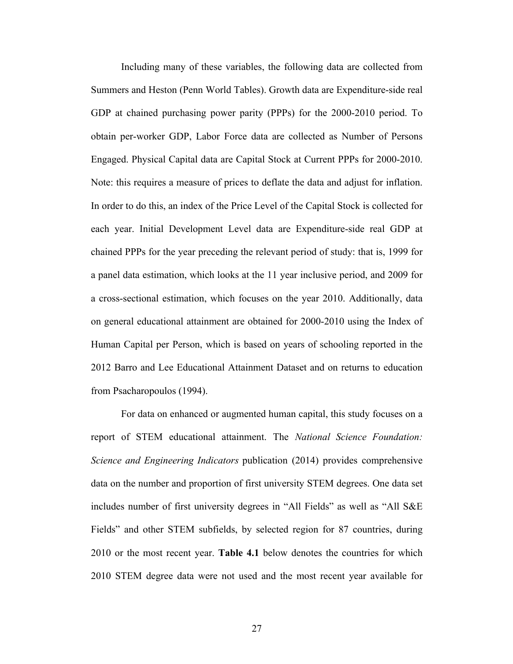Including many of these variables, the following data are collected from Summers and Heston (Penn World Tables). Growth data are Expenditure-side real GDP at chained purchasing power parity (PPPs) for the 2000-2010 period. To obtain per-worker GDP, Labor Force data are collected as Number of Persons Engaged. Physical Capital data are Capital Stock at Current PPPs for 2000-2010. Note: this requires a measure of prices to deflate the data and adjust for inflation. In order to do this, an index of the Price Level of the Capital Stock is collected for each year. Initial Development Level data are Expenditure-side real GDP at chained PPPs for the year preceding the relevant period of study: that is, 1999 for a panel data estimation, which looks at the 11 year inclusive period, and 2009 for a cross-sectional estimation, which focuses on the year 2010. Additionally, data on general educational attainment are obtained for 2000-2010 using the Index of Human Capital per Person, which is based on years of schooling reported in the 2012 Barro and Lee Educational Attainment Dataset and on returns to education from Psacharopoulos (1994).

For data on enhanced or augmented human capital, this study focuses on a report of STEM educational attainment. The *National Science Foundation: Science and Engineering Indicators* publication (2014) provides comprehensive data on the number and proportion of first university STEM degrees. One data set includes number of first university degrees in "All Fields" as well as "All S&E Fields" and other STEM subfields, by selected region for 87 countries, during 2010 or the most recent year. **Table 4.1** below denotes the countries for which 2010 STEM degree data were not used and the most recent year available for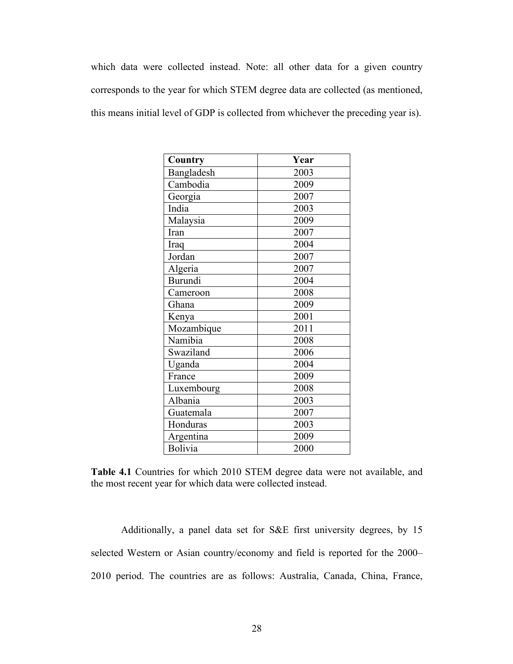which data were collected instead. Note: all other data for a given country corresponds to the year for which STEM degree data are collected (as mentioned, this means initial level of GDP is collected from whichever the preceding year is).

| Country        | Year |
|----------------|------|
| Bangladesh     | 2003 |
| Cambodia       | 2009 |
| Georgia        | 2007 |
| India          | 2003 |
| Malaysia       | 2009 |
| Iran           | 2007 |
| Iraq           | 2004 |
| Jordan         | 2007 |
| Algeria        | 2007 |
| <b>Burundi</b> | 2004 |
| Cameroon       | 2008 |
| Ghana          | 2009 |
| Kenya          | 2001 |
| Mozambique     | 2011 |
| Namibia        | 2008 |
| Swaziland      | 2006 |
| Uganda         | 2004 |
| France         | 2009 |
| Luxembourg     | 2008 |
| Albania        | 2003 |
| Guatemala      | 2007 |
| Honduras       | 2003 |
| Argentina      | 2009 |
| <b>Bolivia</b> | 2000 |

**Table 4.1** Countries for which 2010 STEM degree data were not available, and the most recent year for which data were collected instead.

Additionally, a panel data set for S&E first university degrees, by 15 selected Western or Asian country/economy and field is reported for the 2000– 2010 period. The countries are as follows: Australia, Canada, China, France,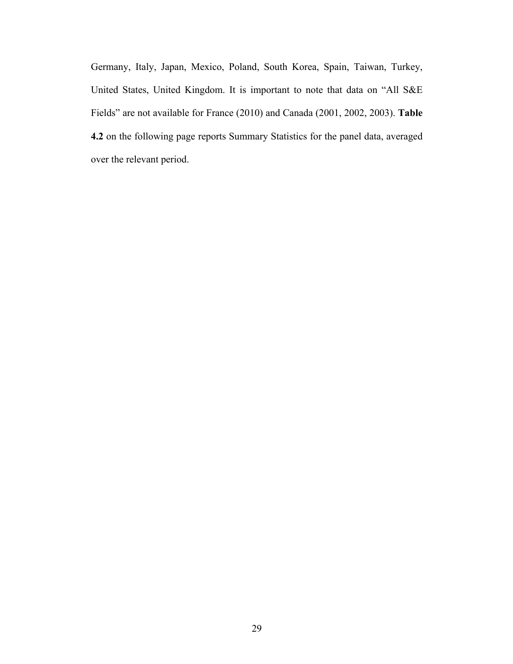Germany, Italy, Japan, Mexico, Poland, South Korea, Spain, Taiwan, Turkey, United States, United Kingdom. It is important to note that data on "All S&E Fields" are not available for France (2010) and Canada (2001, 2002, 2003). **Table 4.2** on the following page reports Summary Statistics for the panel data, averaged over the relevant period.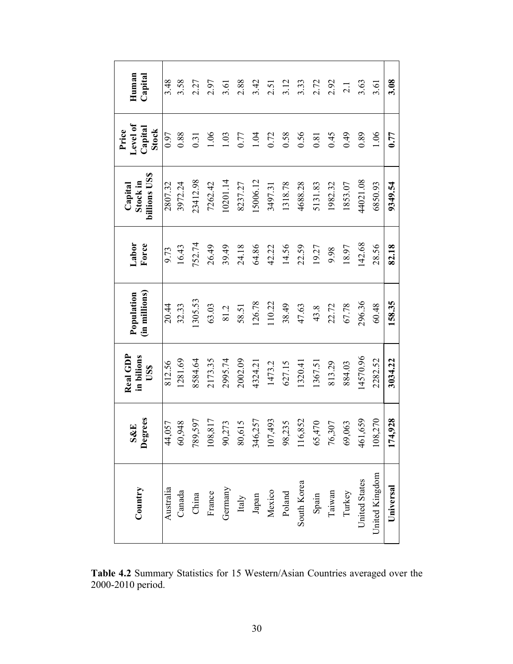| Country        | Degrees<br>S&E         | Real GDP<br>in bilions<br>USS | (in millions)<br>Population | Labor<br>Force | billions US\$<br>Stock in<br>Capital | Level of<br>Capital<br>Price<br>Stock | Human<br>Capital |
|----------------|------------------------|-------------------------------|-----------------------------|----------------|--------------------------------------|---------------------------------------|------------------|
| Australia      | 44,057                 | 812.56                        | 20.44                       | 9.73           | 2807.32                              | 0.97                                  | 3.48             |
| Canada         | 60,948                 | 1281.69                       | 32.33                       | 16.43          | 3972.24                              | 0.88                                  | 3.58             |
| China          | 789,597                | 8584.64                       | 1305.53                     | 752.74         | 23412.98                             | 0.31                                  | 2.27             |
| France         | 108,817                | 2173.35                       | 63.03                       | 26.49          | 7262.42                              | 1.06                                  | 2.97             |
| Germany        | 273<br>60              | 2995.74                       | 81.2                        | 39.49          | 10201.14                             | 1.03                                  | 3.61             |
| Italy          | 519 <sup>6</sup><br>80 | 2002.09                       | 58.51                       | 24.18          | 8237.27                              | 0.77                                  | 2.88             |
| Japan          | 346,257                | 4324.21                       | 126.78                      | 64.86          | 15006.12                             | 1.04                                  | 3.42             |
| Mexico         | 107,493                | 1473.2                        | 110.22                      | 42.22          | 3497.31                              | 0.72                                  | 2.51             |
| Poland         | 235<br>98              | 627.15                        | 38.49                       | 14.56          | 1318.78                              | 0.58                                  | 3.12             |
| South Korea    | 16,852                 | 1320.41                       | 47.63                       | 22.59          | 4688.28                              | 0.56                                  | 3.33             |
| Spain          | 0/47<br>65             | 1367.51                       | 43.8                        | 19.27          | 5131.83                              | 0.81                                  | 2.72             |
| Taiwan         | 76,307                 | 813.29                        | 22.72                       | 9.98           | 1982.32                              | 0.45                                  | 2.92             |
| Turkey         | ,063<br>69             | 884.03                        | 67.78                       | 18.97          | 1853.07                              | 0.49                                  | 2.1              |
| United States  | 461,659                | 14570.96                      | 296.36                      | 142.68         | 44021.08                             | 0.89                                  | 3.63             |
| United Kingdom | 108,270                | 2282.52                       | 60.48                       | 28.56          | 6850.93                              | 1.06                                  | 3.61             |
| Universal      | 174,928                | 3034.22                       | 158.35                      | 82.18          | 9349.54                              | 0.77                                  | 3.08             |

**Table 4.2** Summary Statistics for 15 Western/Asian Countries averaged over the 2000-2010 period.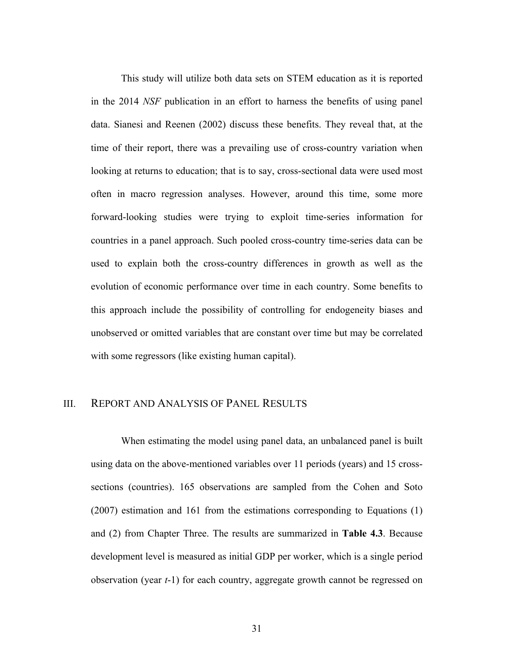This study will utilize both data sets on STEM education as it is reported in the 2014 *NSF* publication in an effort to harness the benefits of using panel data. Sianesi and Reenen (2002) discuss these benefits. They reveal that, at the time of their report, there was a prevailing use of cross-country variation when looking at returns to education; that is to say, cross-sectional data were used most often in macro regression analyses. However, around this time, some more forward-looking studies were trying to exploit time-series information for countries in a panel approach. Such pooled cross-country time-series data can be used to explain both the cross-country differences in growth as well as the evolution of economic performance over time in each country. Some benefits to this approach include the possibility of controlling for endogeneity biases and unobserved or omitted variables that are constant over time but may be correlated with some regressors (like existing human capital).

#### III. REPORT AND ANALYSIS OF PANEL RESULTS

When estimating the model using panel data, an unbalanced panel is built using data on the above-mentioned variables over 11 periods (years) and 15 crosssections (countries). 165 observations are sampled from the Cohen and Soto (2007) estimation and 161 from the estimations corresponding to Equations (1) and (2) from Chapter Three. The results are summarized in **Table 4.3**. Because development level is measured as initial GDP per worker, which is a single period observation (year *t*-1) for each country, aggregate growth cannot be regressed on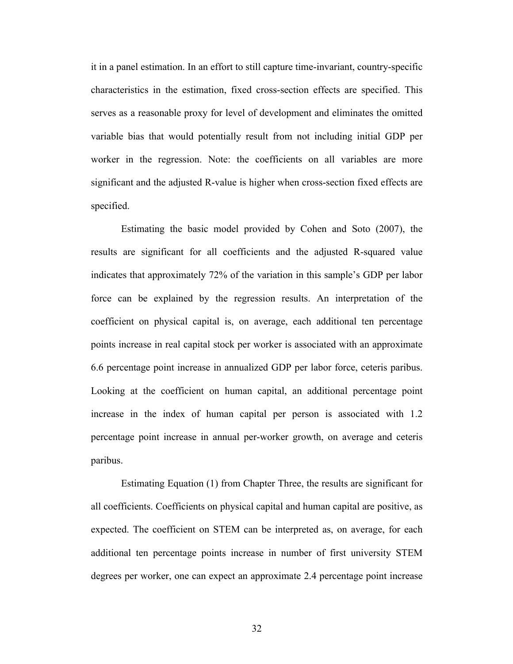it in a panel estimation. In an effort to still capture time-invariant, country-specific characteristics in the estimation, fixed cross-section effects are specified. This serves as a reasonable proxy for level of development and eliminates the omitted variable bias that would potentially result from not including initial GDP per worker in the regression. Note: the coefficients on all variables are more significant and the adjusted R-value is higher when cross-section fixed effects are specified.

Estimating the basic model provided by Cohen and Soto (2007), the results are significant for all coefficients and the adjusted R-squared value indicates that approximately 72% of the variation in this sample's GDP per labor force can be explained by the regression results. An interpretation of the coefficient on physical capital is, on average, each additional ten percentage points increase in real capital stock per worker is associated with an approximate 6.6 percentage point increase in annualized GDP per labor force, ceteris paribus. Looking at the coefficient on human capital, an additional percentage point increase in the index of human capital per person is associated with 1.2 percentage point increase in annual per-worker growth, on average and ceteris paribus.

Estimating Equation (1) from Chapter Three, the results are significant for all coefficients. Coefficients on physical capital and human capital are positive, as expected. The coefficient on STEM can be interpreted as, on average, for each additional ten percentage points increase in number of first university STEM degrees per worker, one can expect an approximate 2.4 percentage point increase

32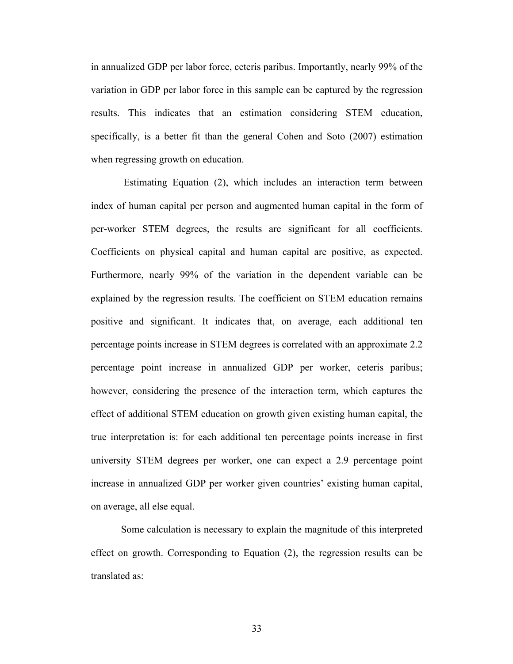in annualized GDP per labor force, ceteris paribus. Importantly, nearly 99% of the variation in GDP per labor force in this sample can be captured by the regression results. This indicates that an estimation considering STEM education, specifically, is a better fit than the general Cohen and Soto (2007) estimation when regressing growth on education.

Estimating Equation (2), which includes an interaction term between index of human capital per person and augmented human capital in the form of per-worker STEM degrees, the results are significant for all coefficients. Coefficients on physical capital and human capital are positive, as expected. Furthermore, nearly 99% of the variation in the dependent variable can be explained by the regression results. The coefficient on STEM education remains positive and significant. It indicates that, on average, each additional ten percentage points increase in STEM degrees is correlated with an approximate 2.2 percentage point increase in annualized GDP per worker, ceteris paribus; however, considering the presence of the interaction term, which captures the effect of additional STEM education on growth given existing human capital, the true interpretation is: for each additional ten percentage points increase in first university STEM degrees per worker, one can expect a 2.9 percentage point increase in annualized GDP per worker given countries' existing human capital, on average, all else equal.

Some calculation is necessary to explain the magnitude of this interpreted effect on growth. Corresponding to Equation (2), the regression results can be translated as:

33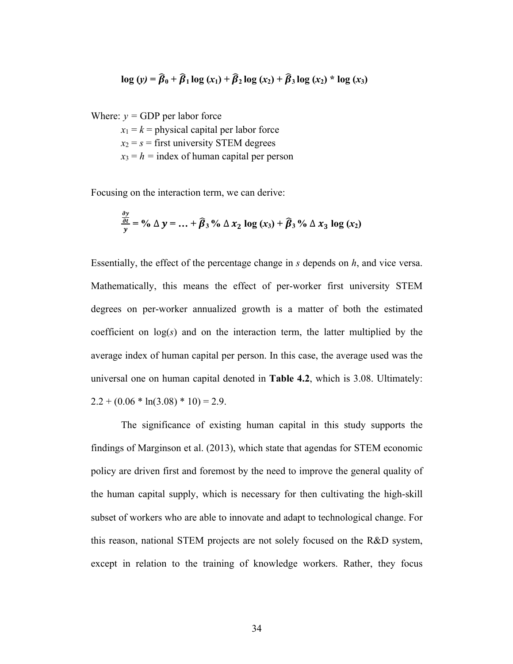$$
\log(y) = \widehat{\beta}_0 + \widehat{\beta}_1 \log(x_1) + \widehat{\beta}_2 \log(x_2) + \widehat{\beta}_3 \log(x_2) * \log(x_3)
$$

Where:  $v = GDP$  per labor force

 $x_1 = k$  = physical capital per labor force

- $x_2 = s$  = first university STEM degrees
- $x_3 = h$  = index of human capital per person

Focusing on the interaction term, we can derive:

$$
\frac{\partial y}{\partial t} = \frac{\partial y}{\partial x} = 0
$$

Essentially, the effect of the percentage change in *s* depends on *h*, and vice versa. Mathematically, this means the effect of per-worker first university STEM degrees on per-worker annualized growth is a matter of both the estimated coefficient on log(*s*) and on the interaction term, the latter multiplied by the average index of human capital per person. In this case, the average used was the universal one on human capital denoted in **Table 4.2**, which is 3.08. Ultimately:  $2.2 + (0.06 * ln(3.08) * 10) = 2.9$ .

The significance of existing human capital in this study supports the findings of Marginson et al. (2013), which state that agendas for STEM economic policy are driven first and foremost by the need to improve the general quality of the human capital supply, which is necessary for then cultivating the high-skill subset of workers who are able to innovate and adapt to technological change. For this reason, national STEM projects are not solely focused on the R&D system, except in relation to the training of knowledge workers. Rather, they focus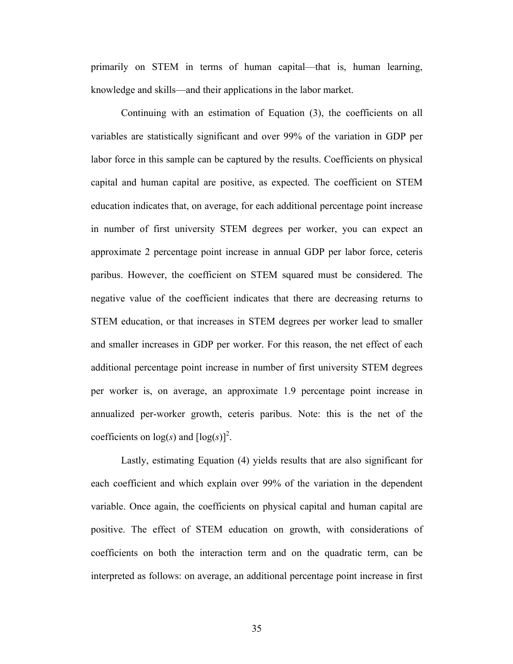primarily on STEM in terms of human capital—that is, human learning, knowledge and skills—and their applications in the labor market.

Continuing with an estimation of Equation (3), the coefficients on all variables are statistically significant and over 99% of the variation in GDP per labor force in this sample can be captured by the results. Coefficients on physical capital and human capital are positive, as expected. The coefficient on STEM education indicates that, on average, for each additional percentage point increase in number of first university STEM degrees per worker, you can expect an approximate 2 percentage point increase in annual GDP per labor force, ceteris paribus. However, the coefficient on STEM squared must be considered. The negative value of the coefficient indicates that there are decreasing returns to STEM education, or that increases in STEM degrees per worker lead to smaller and smaller increases in GDP per worker. For this reason, the net effect of each additional percentage point increase in number of first university STEM degrees per worker is, on average, an approximate 1.9 percentage point increase in annualized per-worker growth, ceteris paribus. Note: this is the net of the coefficients on  $log(s)$  and  $[log(s)]^2$ .

Lastly, estimating Equation (4) yields results that are also significant for each coefficient and which explain over 99% of the variation in the dependent variable. Once again, the coefficients on physical capital and human capital are positive. The effect of STEM education on growth, with considerations of coefficients on both the interaction term and on the quadratic term, can be interpreted as follows: on average, an additional percentage point increase in first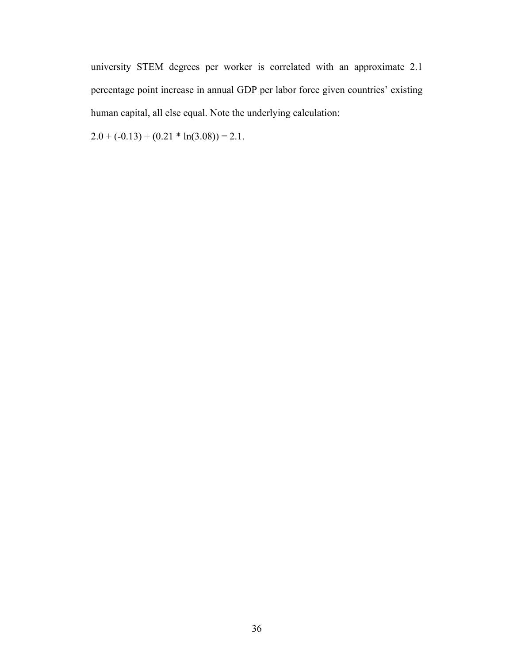university STEM degrees per worker is correlated with an approximate 2.1 percentage point increase in annual GDP per labor force given countries' existing human capital, all else equal. Note the underlying calculation:

 $2.0 + (-0.13) + (0.21 * ln(3.08)) = 2.1.$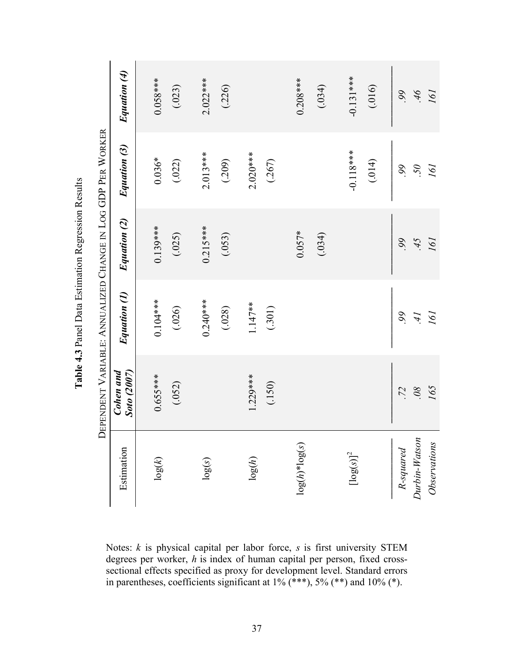|                          |                                 | DEPENDENT VARIABLE: ANNUALIZED CHANGE IN LOG GDP PER WORKER |              |              |              |
|--------------------------|---------------------------------|-------------------------------------------------------------|--------------|--------------|--------------|
| Estimation               | Cohen and<br><b>Soto</b> (2007) | Equation (1)                                                | Equation (2) | Equation (3) | Equation (4) |
|                          |                                 | $0.104***$                                                  | $0.139***$   |              |              |
| log(k)                   | $0.655***$                      |                                                             |              | $0.036*$     | $0.058***$   |
|                          | (.052)                          | (.026)                                                      | (.025)       | (.022)       | (.023)       |
|                          |                                 |                                                             |              |              |              |
| log(s)                   |                                 | $0.240***$                                                  | $0.215***$   | $2.013***$   | $2.022***$   |
|                          |                                 | (.028)                                                      | (.053)       | (.209)       | (.226)       |
| log(h)                   | $1.229***$                      | $1.147**$                                                   |              | $2.020***$   |              |
|                          | (.150)                          | (.301)                                                      |              | (.267)       |              |
|                          |                                 |                                                             |              |              |              |
| $log(h)*log(s)$          |                                 |                                                             | $0.057*$     |              | $0.208***$   |
|                          |                                 |                                                             | (.034)       |              | (.034)       |
|                          |                                 |                                                             |              |              |              |
| $\left[\log(s)\right]^2$ |                                 |                                                             |              | $-0.118***$  | $-0.131***$  |
|                          |                                 |                                                             |              | (.014)       | (.016)       |
|                          |                                 |                                                             |              |              |              |
| R-squared                | .72                             | $\delta\delta$                                              | $\delta$     | 99.          | 99.          |
| $Durbin-Watson$          | $\partial \delta$               | İ r                                                         | 5t           | .50          | 9t           |
| Observations             | 165                             | 161                                                         | 161          | 161          | 161          |

**Table 4. 3**Panel Data Estimation Regression Results

Notes: *k* is physical capital per labor force, *s* is first university STEM degrees per worker, *h* is index of human capital per person, fixed crosssectional effects specified as proxy for development level. Standard errors in parentheses, coefficients significant at  $1\%$  (\*\*\*),  $5\%$  (\*\*) and  $10\%$  (\*).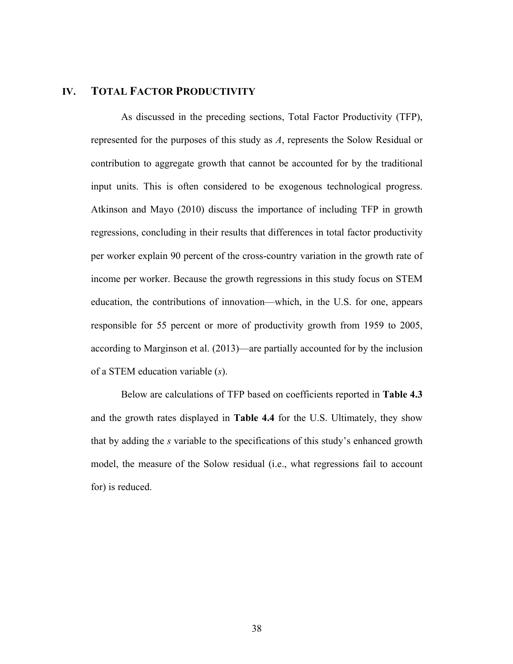#### **IV. TOTAL FACTOR PRODUCTIVITY**

As discussed in the preceding sections, Total Factor Productivity (TFP), represented for the purposes of this study as *A*, represents the Solow Residual or contribution to aggregate growth that cannot be accounted for by the traditional input units. This is often considered to be exogenous technological progress. Atkinson and Mayo (2010) discuss the importance of including TFP in growth regressions, concluding in their results that differences in total factor productivity per worker explain 90 percent of the cross-country variation in the growth rate of income per worker. Because the growth regressions in this study focus on STEM education, the contributions of innovation—which, in the U.S. for one, appears responsible for 55 percent or more of productivity growth from 1959 to 2005, according to Marginson et al. (2013)—are partially accounted for by the inclusion of a STEM education variable (*s*).

Below are calculations of TFP based on coefficients reported in **Table 4.3** and the growth rates displayed in **Table 4.4** for the U.S. Ultimately, they show that by adding the *s* variable to the specifications of this study's enhanced growth model, the measure of the Solow residual (i.e., what regressions fail to account for) is reduced.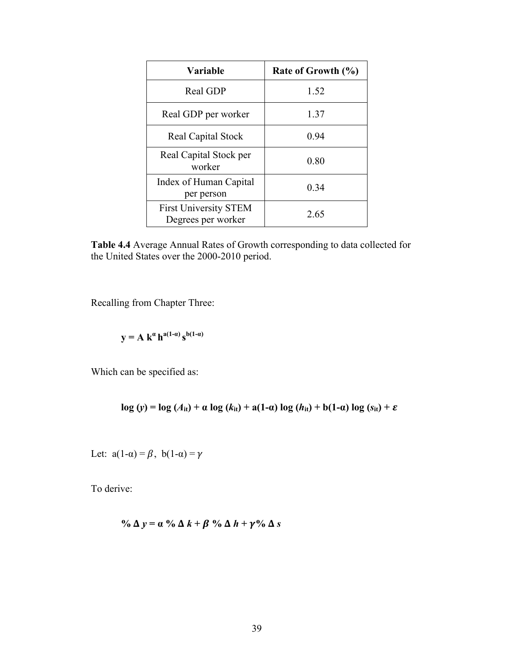| Variable                                           | Rate of Growth (%) |
|----------------------------------------------------|--------------------|
| Real GDP                                           | 1.52               |
| Real GDP per worker                                | 1.37               |
| <b>Real Capital Stock</b>                          | 0.94               |
| Real Capital Stock per<br>worker                   | 0.80               |
| Index of Human Capital<br>per person               | 0.34               |
| <b>First University STEM</b><br>Degrees per worker | 2.65               |

**Table 4.4** Average Annual Rates of Growth corresponding to data collected for the United States over the 2000-2010 period.

Recalling from Chapter Three:

$$
y = A k^{\alpha} h^{a(1-\alpha)} s^{b(1-\alpha)}
$$

Which can be specified as:

$$
\log(y) = \log(A_{it}) + \alpha \log(k_{it}) + a(1-\alpha) \log(h_{it}) + b(1-\alpha) \log(s_{it}) + \varepsilon
$$

Let:  $a(1-\alpha) = \beta$ ,  $b(1-\alpha) = \gamma$ 

To derive:

$$
\% \Delta y = \alpha \% \Delta k + \beta \% \Delta h + \gamma \% \Delta s
$$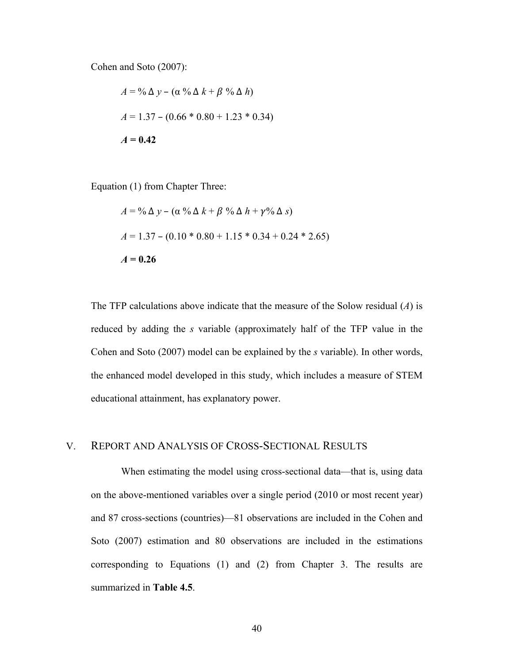Cohen and Soto (2007):

$$
A = \frac{9}{6} \Delta y - (\alpha \frac{9}{6} \Delta k + \beta \frac{9}{6} \Delta h)
$$
  

$$
A = 1.37 - (0.66 * 0.80 + 1.23 * 0.34)
$$
  

$$
A = 0.42
$$

Equation (1) from Chapter Three:

$$
A = \frac{9}{6} \Delta y - (\alpha \frac{9}{6} \Delta k + \beta \frac{9}{6} \Delta h + \gamma \frac{9}{6} \Delta s)
$$
  

$$
A = 1.37 - (0.10 * 0.80 + 1.15 * 0.34 + 0.24 * 2.65)
$$
  

$$
A = 0.26
$$

The TFP calculations above indicate that the measure of the Solow residual (*A*) is reduced by adding the *s* variable (approximately half of the TFP value in the Cohen and Soto (2007) model can be explained by the *s* variable). In other words, the enhanced model developed in this study, which includes a measure of STEM educational attainment, has explanatory power.

#### V. REPORT AND ANALYSIS OF CROSS-SECTIONAL RESULTS

When estimating the model using cross-sectional data—that is, using data on the above-mentioned variables over a single period (2010 or most recent year) and 87 cross-sections (countries)—81 observations are included in the Cohen and Soto (2007) estimation and 80 observations are included in the estimations corresponding to Equations (1) and (2) from Chapter 3. The results are summarized in **Table 4.5**.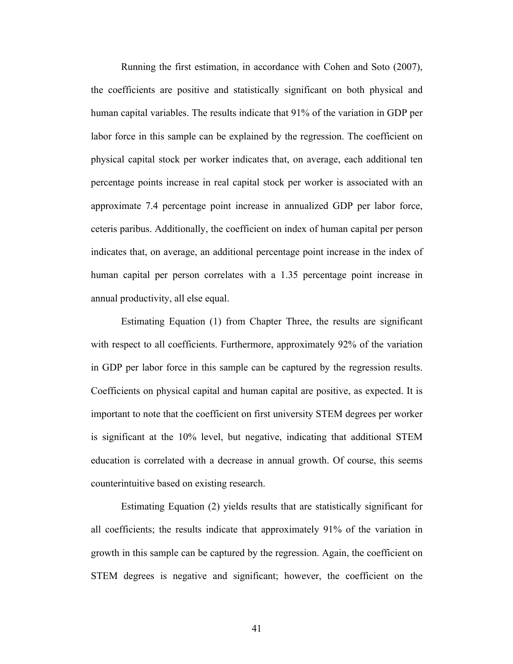Running the first estimation, in accordance with Cohen and Soto (2007), the coefficients are positive and statistically significant on both physical and human capital variables. The results indicate that 91% of the variation in GDP per labor force in this sample can be explained by the regression. The coefficient on physical capital stock per worker indicates that, on average, each additional ten percentage points increase in real capital stock per worker is associated with an approximate 7.4 percentage point increase in annualized GDP per labor force, ceteris paribus. Additionally, the coefficient on index of human capital per person indicates that, on average, an additional percentage point increase in the index of human capital per person correlates with a 1.35 percentage point increase in annual productivity, all else equal.

Estimating Equation (1) from Chapter Three, the results are significant with respect to all coefficients. Furthermore, approximately 92% of the variation in GDP per labor force in this sample can be captured by the regression results. Coefficients on physical capital and human capital are positive, as expected. It is important to note that the coefficient on first university STEM degrees per worker is significant at the 10% level, but negative, indicating that additional STEM education is correlated with a decrease in annual growth. Of course, this seems counterintuitive based on existing research.

Estimating Equation (2) yields results that are statistically significant for all coefficients; the results indicate that approximately 91% of the variation in growth in this sample can be captured by the regression. Again, the coefficient on STEM degrees is negative and significant; however, the coefficient on the

41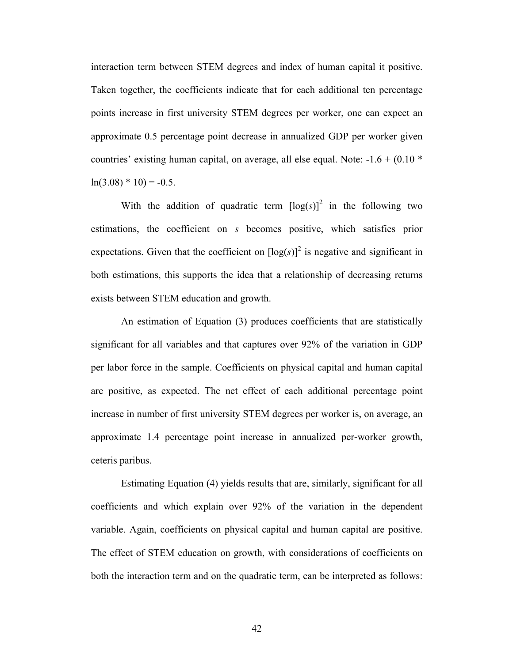interaction term between STEM degrees and index of human capital it positive. Taken together, the coefficients indicate that for each additional ten percentage points increase in first university STEM degrees per worker, one can expect an approximate 0.5 percentage point decrease in annualized GDP per worker given countries' existing human capital, on average, all else equal. Note:  $-1.6 + (0.10 *$  $ln(3.08) * 10 = -0.5$ .

With the addition of quadratic term  $[\log(s)]^2$  in the following two estimations, the coefficient on *s* becomes positive, which satisfies prior expectations. Given that the coefficient on  $[\log(s)]^2$  is negative and significant in both estimations, this supports the idea that a relationship of decreasing returns exists between STEM education and growth.

An estimation of Equation (3) produces coefficients that are statistically significant for all variables and that captures over 92% of the variation in GDP per labor force in the sample. Coefficients on physical capital and human capital are positive, as expected. The net effect of each additional percentage point increase in number of first university STEM degrees per worker is, on average, an approximate 1.4 percentage point increase in annualized per-worker growth, ceteris paribus.

Estimating Equation (4) yields results that are, similarly, significant for all coefficients and which explain over 92% of the variation in the dependent variable. Again, coefficients on physical capital and human capital are positive. The effect of STEM education on growth, with considerations of coefficients on both the interaction term and on the quadratic term, can be interpreted as follows: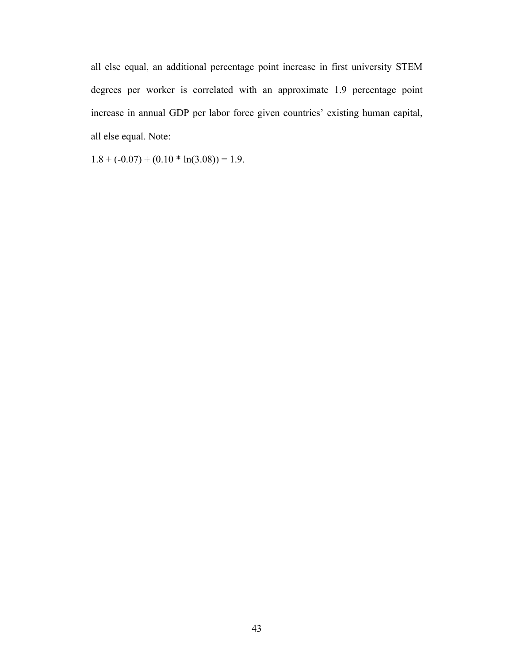all else equal, an additional percentage point increase in first university STEM degrees per worker is correlated with an approximate 1.9 percentage point increase in annual GDP per labor force given countries' existing human capital, all else equal. Note:

 $1.8 + (-0.07) + (0.10 * ln(3.08)) = 1.9.$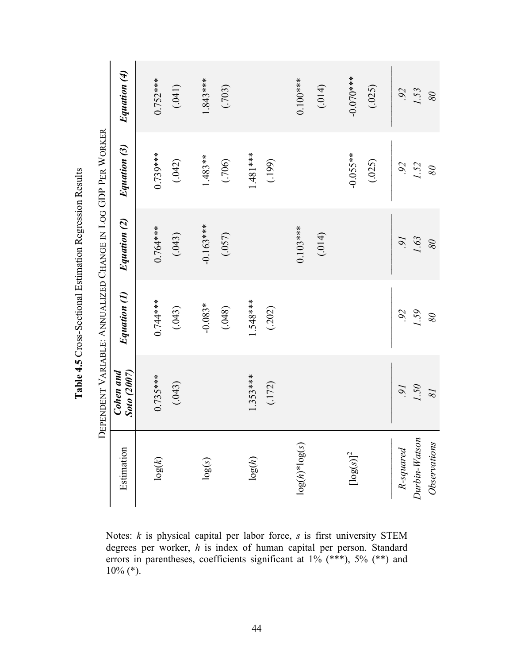**Table 4. 5**Cross-Sectional Estimation Regression Results

Notes: *k* is physical capital per labor force, *s* is first university STEM degrees per worker, *h* is index of human capital per person. Standard errors in parentheses, coefficients significant at 1% (\*\*\*), 5% (\*\*) and  $10\%$  (\*).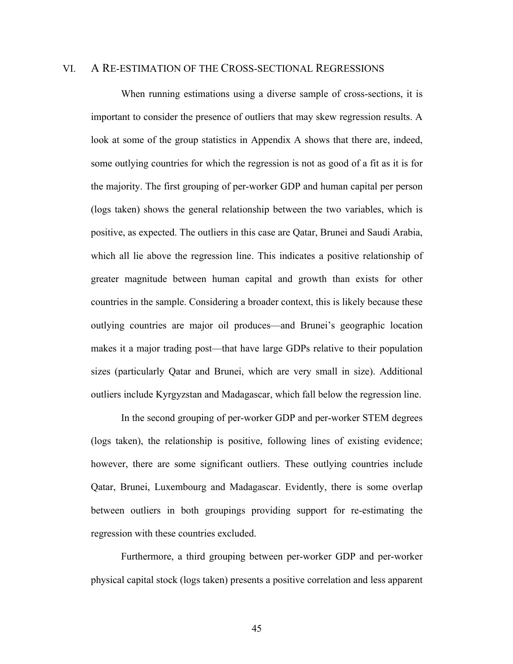#### VI. A RE-ESTIMATION OF THE CROSS-SECTIONAL REGRESSIONS

When running estimations using a diverse sample of cross-sections, it is important to consider the presence of outliers that may skew regression results. A look at some of the group statistics in Appendix A shows that there are, indeed, some outlying countries for which the regression is not as good of a fit as it is for the majority. The first grouping of per-worker GDP and human capital per person (logs taken) shows the general relationship between the two variables, which is positive, as expected. The outliers in this case are Qatar, Brunei and Saudi Arabia, which all lie above the regression line. This indicates a positive relationship of greater magnitude between human capital and growth than exists for other countries in the sample. Considering a broader context, this is likely because these outlying countries are major oil produces—and Brunei's geographic location makes it a major trading post—that have large GDPs relative to their population sizes (particularly Qatar and Brunei, which are very small in size). Additional outliers include Kyrgyzstan and Madagascar, which fall below the regression line.

In the second grouping of per-worker GDP and per-worker STEM degrees (logs taken), the relationship is positive, following lines of existing evidence; however, there are some significant outliers. These outlying countries include Qatar, Brunei, Luxembourg and Madagascar. Evidently, there is some overlap between outliers in both groupings providing support for re-estimating the regression with these countries excluded.

Furthermore, a third grouping between per-worker GDP and per-worker physical capital stock (logs taken) presents a positive correlation and less apparent

45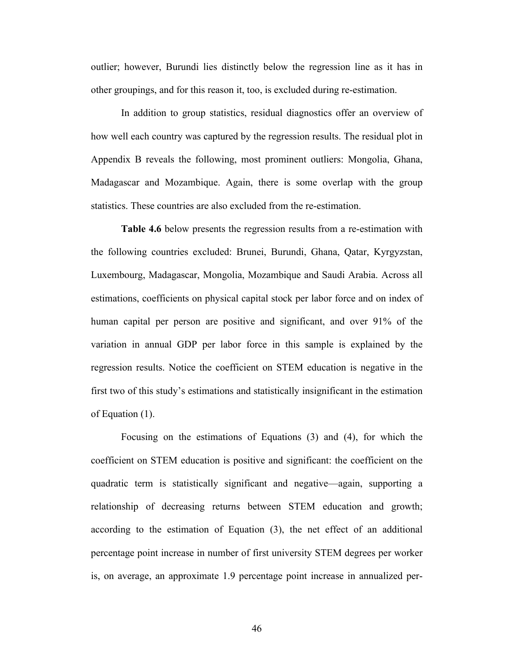outlier; however, Burundi lies distinctly below the regression line as it has in other groupings, and for this reason it, too, is excluded during re-estimation.

In addition to group statistics, residual diagnostics offer an overview of how well each country was captured by the regression results. The residual plot in Appendix B reveals the following, most prominent outliers: Mongolia, Ghana, Madagascar and Mozambique. Again, there is some overlap with the group statistics. These countries are also excluded from the re-estimation.

**Table 4.6** below presents the regression results from a re-estimation with the following countries excluded: Brunei, Burundi, Ghana, Qatar, Kyrgyzstan, Luxembourg, Madagascar, Mongolia, Mozambique and Saudi Arabia. Across all estimations, coefficients on physical capital stock per labor force and on index of human capital per person are positive and significant, and over 91% of the variation in annual GDP per labor force in this sample is explained by the regression results. Notice the coefficient on STEM education is negative in the first two of this study's estimations and statistically insignificant in the estimation of Equation (1).

Focusing on the estimations of Equations (3) and (4), for which the coefficient on STEM education is positive and significant: the coefficient on the quadratic term is statistically significant and negative—again, supporting a relationship of decreasing returns between STEM education and growth; according to the estimation of Equation (3), the net effect of an additional percentage point increase in number of first university STEM degrees per worker is, on average, an approximate 1.9 percentage point increase in annualized per-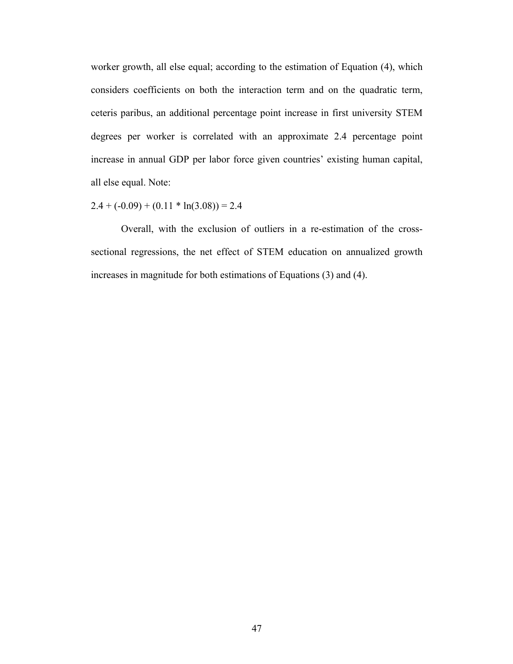worker growth, all else equal; according to the estimation of Equation (4), which considers coefficients on both the interaction term and on the quadratic term, ceteris paribus, an additional percentage point increase in first university STEM degrees per worker is correlated with an approximate 2.4 percentage point increase in annual GDP per labor force given countries' existing human capital, all else equal. Note:

 $2.4 + (-0.09) + (0.11 * ln(3.08)) = 2.4$ 

Overall, with the exclusion of outliers in a re-estimation of the crosssectional regressions, the net effect of STEM education on annualized growth increases in magnitude for both estimations of Equations (3) and (4).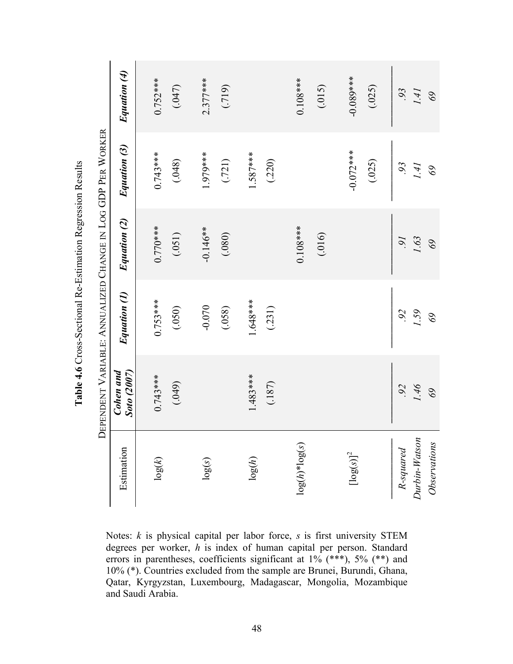Notes: *k* is physical capital per labor force, *s* is first university STEM degrees per worker, *h* is index of human capital per person. Standard errors in parentheses, coefficients significant at 1% (\*\*\*), 5% (\*\*) and 10% (\*). Countries excluded from the sample are Brunei, Burundi, Ghana, Qatar, Kyrgyzstan, Luxembourg, Madagascar, Mongolia, Mozambique and Saudi Arabia.

**Table 4. 6**Cross-Sectional Re-Estimation Regression Results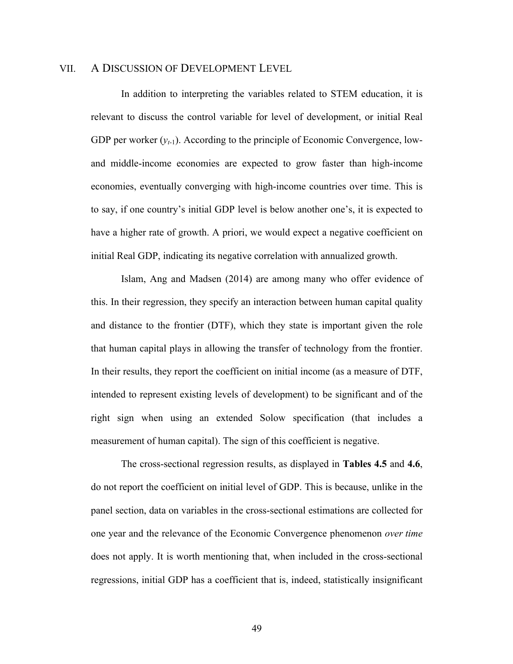#### VII. A DISCUSSION OF DEVELOPMENT LEVEL

In addition to interpreting the variables related to STEM education, it is relevant to discuss the control variable for level of development, or initial Real GDP per worker  $(v_{t-1})$ . According to the principle of Economic Convergence, lowand middle-income economies are expected to grow faster than high-income economies, eventually converging with high-income countries over time. This is to say, if one country's initial GDP level is below another one's, it is expected to have a higher rate of growth. A priori, we would expect a negative coefficient on initial Real GDP, indicating its negative correlation with annualized growth.

Islam, Ang and Madsen (2014) are among many who offer evidence of this. In their regression, they specify an interaction between human capital quality and distance to the frontier (DTF), which they state is important given the role that human capital plays in allowing the transfer of technology from the frontier. In their results, they report the coefficient on initial income (as a measure of DTF, intended to represent existing levels of development) to be significant and of the right sign when using an extended Solow specification (that includes a measurement of human capital). The sign of this coefficient is negative.

The cross-sectional regression results, as displayed in **Tables 4.5** and **4.6**, do not report the coefficient on initial level of GDP. This is because, unlike in the panel section, data on variables in the cross-sectional estimations are collected for one year and the relevance of the Economic Convergence phenomenon *over time* does not apply. It is worth mentioning that, when included in the cross-sectional regressions, initial GDP has a coefficient that is, indeed, statistically insignificant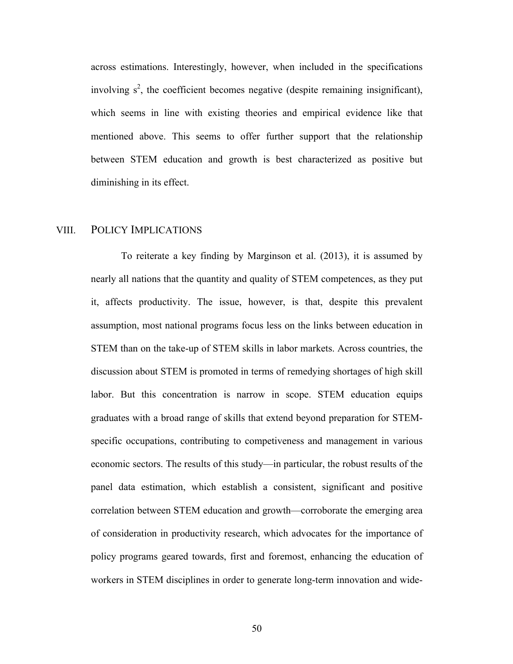across estimations. Interestingly, however, when included in the specifications involving  $s^2$ , the coefficient becomes negative (despite remaining insignificant), which seems in line with existing theories and empirical evidence like that mentioned above. This seems to offer further support that the relationship between STEM education and growth is best characterized as positive but diminishing in its effect.

#### VIII. POLICY IMPLICATIONS

To reiterate a key finding by Marginson et al. (2013), it is assumed by nearly all nations that the quantity and quality of STEM competences, as they put it, affects productivity. The issue, however, is that, despite this prevalent assumption, most national programs focus less on the links between education in STEM than on the take-up of STEM skills in labor markets. Across countries, the discussion about STEM is promoted in terms of remedying shortages of high skill labor. But this concentration is narrow in scope. STEM education equips graduates with a broad range of skills that extend beyond preparation for STEMspecific occupations, contributing to competiveness and management in various economic sectors. The results of this study—in particular, the robust results of the panel data estimation, which establish a consistent, significant and positive correlation between STEM education and growth—corroborate the emerging area of consideration in productivity research, which advocates for the importance of policy programs geared towards, first and foremost, enhancing the education of workers in STEM disciplines in order to generate long-term innovation and wide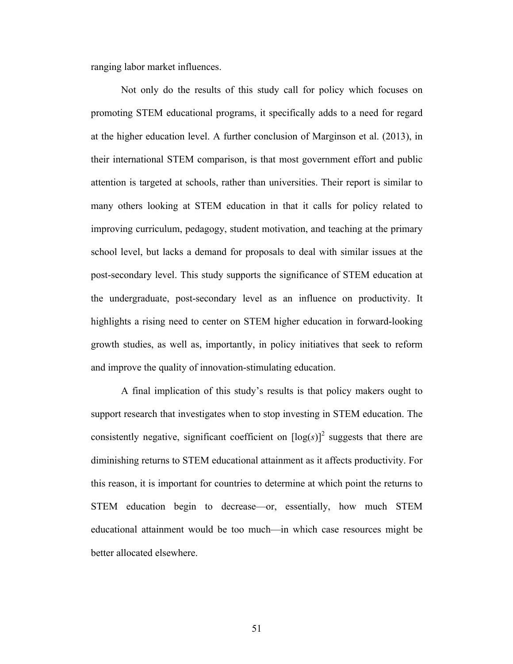ranging labor market influences.

Not only do the results of this study call for policy which focuses on promoting STEM educational programs, it specifically adds to a need for regard at the higher education level. A further conclusion of Marginson et al. (2013), in their international STEM comparison, is that most government effort and public attention is targeted at schools, rather than universities. Their report is similar to many others looking at STEM education in that it calls for policy related to improving curriculum, pedagogy, student motivation, and teaching at the primary school level, but lacks a demand for proposals to deal with similar issues at the post-secondary level. This study supports the significance of STEM education at the undergraduate, post-secondary level as an influence on productivity. It highlights a rising need to center on STEM higher education in forward-looking growth studies, as well as, importantly, in policy initiatives that seek to reform and improve the quality of innovation-stimulating education.

A final implication of this study's results is that policy makers ought to support research that investigates when to stop investing in STEM education. The consistently negative, significant coefficient on  $[\log(s)]^2$  suggests that there are diminishing returns to STEM educational attainment as it affects productivity. For this reason, it is important for countries to determine at which point the returns to STEM education begin to decrease—or, essentially, how much STEM educational attainment would be too much—in which case resources might be better allocated elsewhere.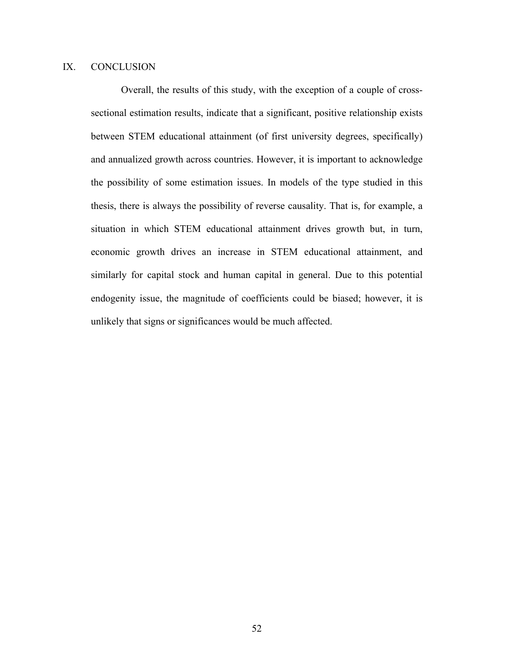### IX. CONCLUSION

Overall, the results of this study, with the exception of a couple of crosssectional estimation results, indicate that a significant, positive relationship exists between STEM educational attainment (of first university degrees, specifically) and annualized growth across countries. However, it is important to acknowledge the possibility of some estimation issues. In models of the type studied in this thesis, there is always the possibility of reverse causality. That is, for example, a situation in which STEM educational attainment drives growth but, in turn, economic growth drives an increase in STEM educational attainment, and similarly for capital stock and human capital in general. Due to this potential endogenity issue, the magnitude of coefficients could be biased; however, it is unlikely that signs or significances would be much affected.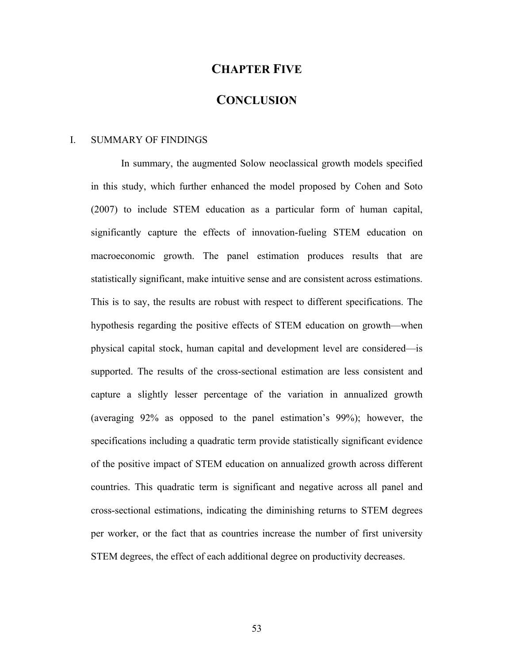# **CHAPTER FIVE**

### **CONCLUSION**

#### I. SUMMARY OF FINDINGS

In summary, the augmented Solow neoclassical growth models specified in this study, which further enhanced the model proposed by Cohen and Soto (2007) to include STEM education as a particular form of human capital, significantly capture the effects of innovation-fueling STEM education on macroeconomic growth. The panel estimation produces results that are statistically significant, make intuitive sense and are consistent across estimations. This is to say, the results are robust with respect to different specifications. The hypothesis regarding the positive effects of STEM education on growth—when physical capital stock, human capital and development level are considered—is supported. The results of the cross-sectional estimation are less consistent and capture a slightly lesser percentage of the variation in annualized growth (averaging 92% as opposed to the panel estimation's 99%); however, the specifications including a quadratic term provide statistically significant evidence of the positive impact of STEM education on annualized growth across different countries. This quadratic term is significant and negative across all panel and cross-sectional estimations, indicating the diminishing returns to STEM degrees per worker, or the fact that as countries increase the number of first university STEM degrees, the effect of each additional degree on productivity decreases.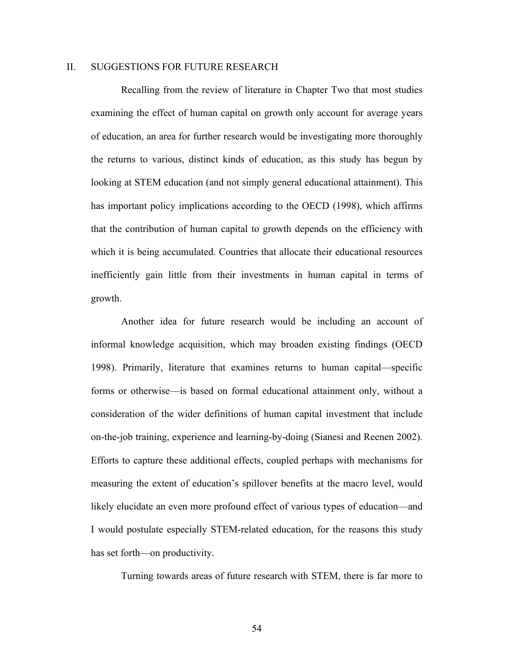#### II. SUGGESTIONS FOR FUTURE RESEARCH

Recalling from the review of literature in Chapter Two that most studies examining the effect of human capital on growth only account for average years of education, an area for further research would be investigating more thoroughly the returns to various, distinct kinds of education, as this study has begun by looking at STEM education (and not simply general educational attainment). This has important policy implications according to the OECD (1998), which affirms that the contribution of human capital to growth depends on the efficiency with which it is being accumulated. Countries that allocate their educational resources inefficiently gain little from their investments in human capital in terms of growth.

Another idea for future research would be including an account of informal knowledge acquisition, which may broaden existing findings (OECD 1998). Primarily, literature that examines returns to human capital—specific forms or otherwise—is based on formal educational attainment only, without a consideration of the wider definitions of human capital investment that include on-the-job training, experience and learning-by-doing (Sianesi and Reenen 2002). Efforts to capture these additional effects, coupled perhaps with mechanisms for measuring the extent of education's spillover benefits at the macro level, would likely elucidate an even more profound effect of various types of education—and I would postulate especially STEM-related education, for the reasons this study has set forth—on productivity.

Turning towards areas of future research with STEM, there is far more to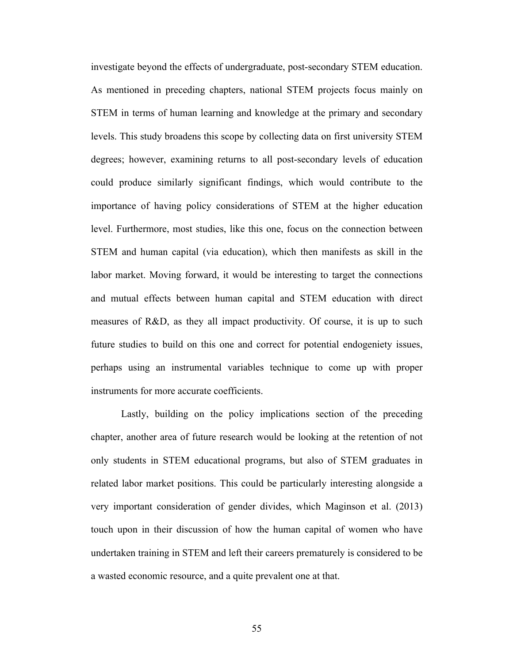investigate beyond the effects of undergraduate, post-secondary STEM education. As mentioned in preceding chapters, national STEM projects focus mainly on STEM in terms of human learning and knowledge at the primary and secondary levels. This study broadens this scope by collecting data on first university STEM degrees; however, examining returns to all post-secondary levels of education could produce similarly significant findings, which would contribute to the importance of having policy considerations of STEM at the higher education level. Furthermore, most studies, like this one, focus on the connection between STEM and human capital (via education), which then manifests as skill in the labor market. Moving forward, it would be interesting to target the connections and mutual effects between human capital and STEM education with direct measures of R&D, as they all impact productivity. Of course, it is up to such future studies to build on this one and correct for potential endogeniety issues, perhaps using an instrumental variables technique to come up with proper instruments for more accurate coefficients.

Lastly, building on the policy implications section of the preceding chapter, another area of future research would be looking at the retention of not only students in STEM educational programs, but also of STEM graduates in related labor market positions. This could be particularly interesting alongside a very important consideration of gender divides, which Maginson et al. (2013) touch upon in their discussion of how the human capital of women who have undertaken training in STEM and left their careers prematurely is considered to be a wasted economic resource, and a quite prevalent one at that.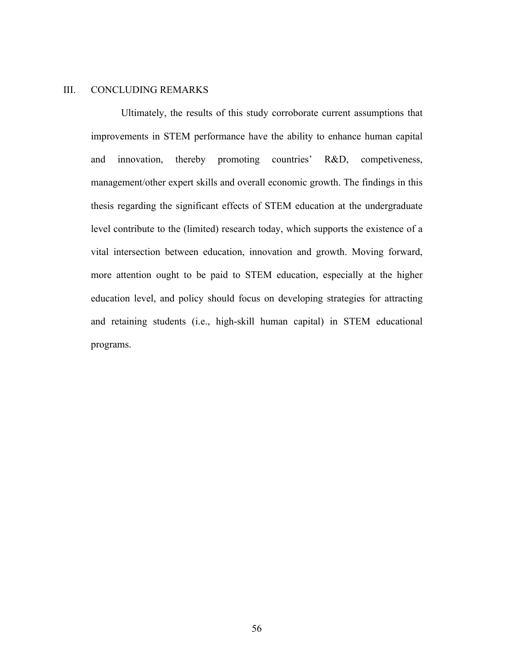#### III. CONCLUDING REMARKS

Ultimately, the results of this study corroborate current assumptions that improvements in STEM performance have the ability to enhance human capital and innovation, thereby promoting countries' R&D, competiveness, management/other expert skills and overall economic growth. The findings in this thesis regarding the significant effects of STEM education at the undergraduate level contribute to the (limited) research today, which supports the existence of a vital intersection between education, innovation and growth. Moving forward, more attention ought to be paid to STEM education, especially at the higher education level, and policy should focus on developing strategies for attracting and retaining students (i.e., high-skill human capital) in STEM educational programs.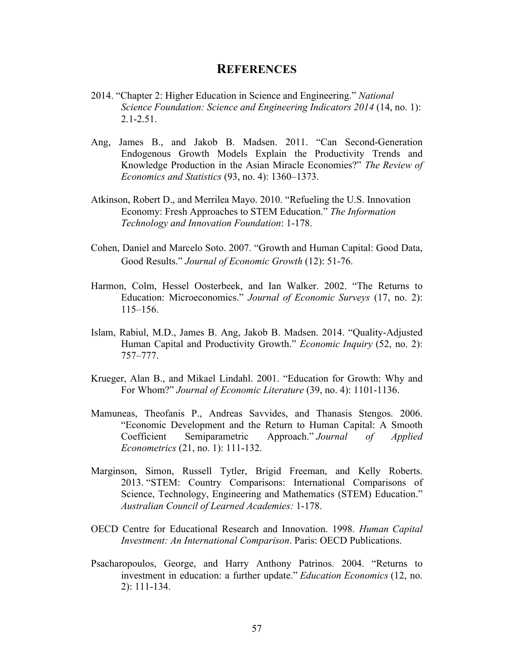### **REFERENCES**

- 2014. "Chapter 2: Higher Education in Science and Engineering." *National Science Foundation: Science and Engineering Indicators 2014* (14, no. 1): 2.1-2.51.
- Ang, James B., and Jakob B. Madsen. 2011. "Can Second-Generation Endogenous Growth Models Explain the Productivity Trends and Knowledge Production in the Asian Miracle Economies?" *The Review of Economics and Statistics* (93, no. 4): 1360–1373.
- Atkinson, Robert D., and Merrilea Mayo. 2010. "Refueling the U.S. Innovation Economy: Fresh Approaches to STEM Education." *The Information Technology and Innovation Foundation*: 1-178.
- Cohen, Daniel and Marcelo Soto. 2007. "Growth and Human Capital: Good Data, Good Results." *Journal of Economic Growth* (12): 51-76.
- Harmon, Colm, Hessel Oosterbeek, and Ian Walker. 2002. "The Returns to Education: Microeconomics." *Journal of Economic Surveys* (17, no. 2): 115–156.
- Islam, Rabiul, M.D., James B. Ang, Jakob B. Madsen. 2014. "Quality-Adjusted Human Capital and Productivity Growth." *Economic Inquiry* (52, no. 2): 757–777.
- Krueger, Alan B., and Mikael Lindahl. 2001. "Education for Growth: Why and For Whom?" *Journal of Economic Literature* (39, no. 4): 1101-1136.
- Mamuneas, Theofanis P., Andreas Savvides, and Thanasis Stengos. 2006. "Economic Development and the Return to Human Capital: A Smooth Coefficient Semiparametric Approach." *Journal of Applied Econometrics* (21, no. 1): 111-132.
- Marginson, Simon, Russell Tytler, Brigid Freeman, and Kelly Roberts. 2013. "STEM: Country Comparisons: International Comparisons of Science, Technology, Engineering and Mathematics (STEM) Education." *Australian Council of Learned Academies:* 1-178.
- OECD Centre for Educational Research and Innovation. 1998. *Human Capital Investment: An International Comparison*. Paris: OECD Publications.
- Psacharopoulos, George, and Harry Anthony Patrinos. 2004. "Returns to investment in education: a further update." *Education Economics* (12, no. 2): 111-134.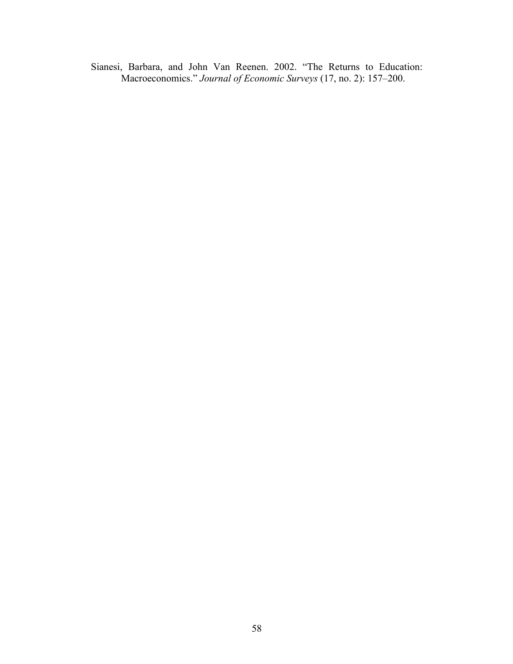Sianesi, Barbara, and John Van Reenen. 2002. "The Returns to Education: Macroeconomics." *Journal of Economic Surveys* (17, no. 2): 157–200.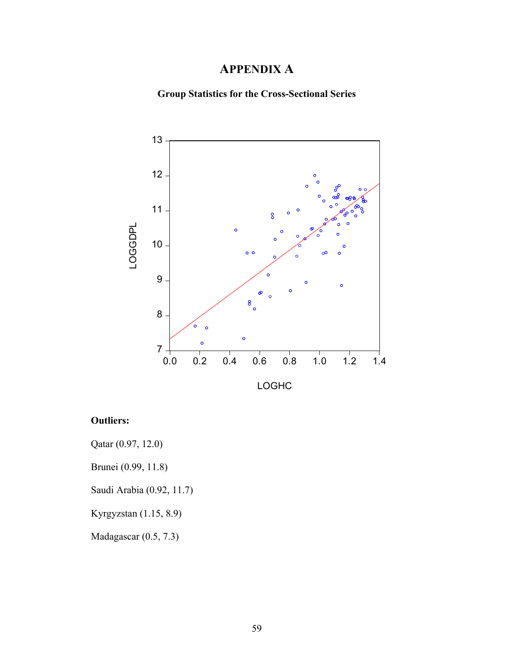# **APPENDIX A**

**Group Statistics for the Cross-Sectional Series**



# **Outliers:**

Qatar (0.97, 12.0)

Brunei (0.99, 11.8)

Saudi Arabia (0.92, 11.7)

Kyrgyzstan (1.15, 8.9)

Madagascar (0.5, 7.3)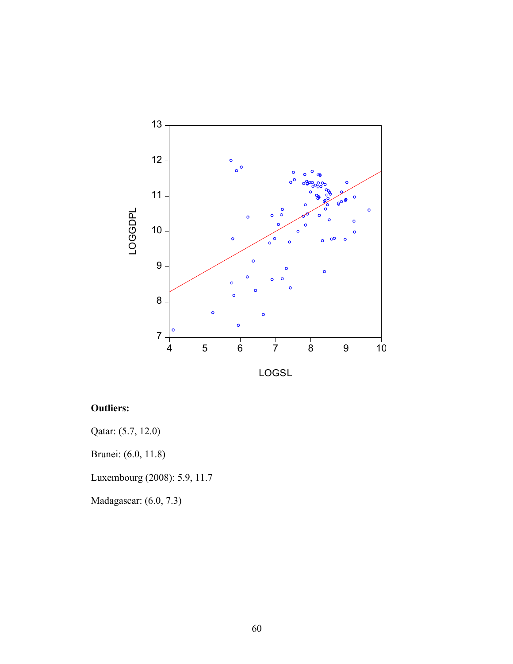

# **Outliers:**

Qatar: (5.7, 12.0)

Brunei: (6.0, 11.8)

Luxembourg (2008): 5.9, 11.7

Madagascar: (6.0, 7.3)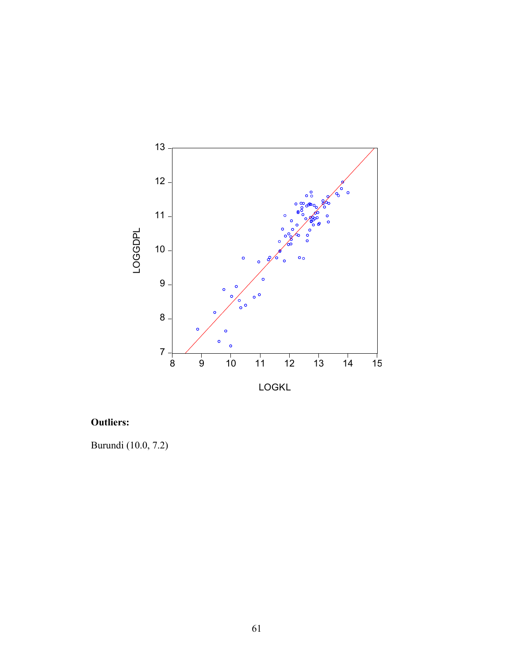

# **Outliers:**

Burundi (10.0, 7.2)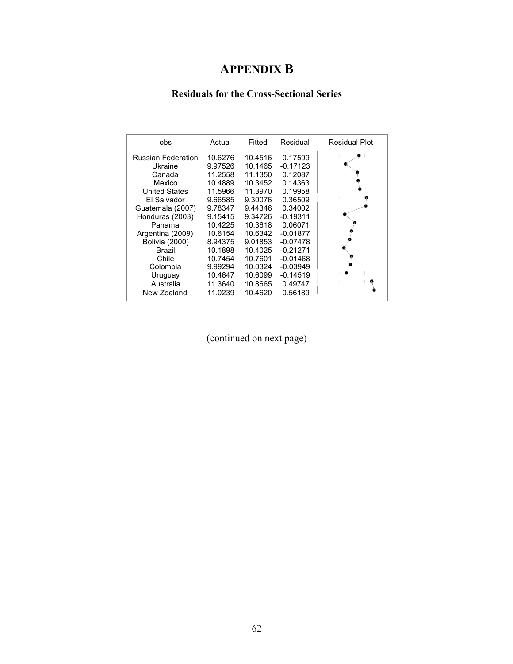# **APPENDIX B**

# **Residuals for the Cross-Sectional Series**

| obs                       | Actual  | Fitted  | Residual   | <b>Residual Plot</b> |
|---------------------------|---------|---------|------------|----------------------|
| <b>Russian Federation</b> | 10.6276 | 10.4516 | 0.17599    |                      |
| Ukraine                   | 9.97526 | 10.1465 | $-0.17123$ |                      |
| Canada                    | 11.2558 | 11.1350 | 0.12087    |                      |
| Mexico                    | 10.4889 | 10.3452 | 0.14363    |                      |
| United States             | 11.5966 | 11.3970 | 0.19958    |                      |
| El Salvador               | 9.66585 | 9.30076 | 0.36509    |                      |
| Guatemala (2007)          | 9.78347 | 9.44346 | 0.34002    |                      |
| Honduras (2003)           | 9.15415 | 9.34726 | $-0.19311$ | ۰                    |
| Panama                    | 10.4225 | 10.3618 | 0.06071    |                      |
| Argentina (2009)          | 10.6154 | 10.6342 | $-0.01877$ |                      |
| <b>Bolivia (2000)</b>     | 8.94375 | 9.01853 | $-0.07478$ |                      |
| Brazil                    | 10.1898 | 10.4025 | $-0.21271$ |                      |
| Chile                     | 10.7454 | 10.7601 | $-0.01468$ |                      |
| Colombia                  | 9.99294 | 10.0324 | $-0.03949$ |                      |
| Uruguay                   | 10.4647 | 10.6099 | $-0.14519$ |                      |
| Australia                 | 11.3640 | 10.8665 | 0.49747    |                      |
| New Zealand               | 11.0239 | 10.4620 | 0.56189    |                      |

(continued on next page)